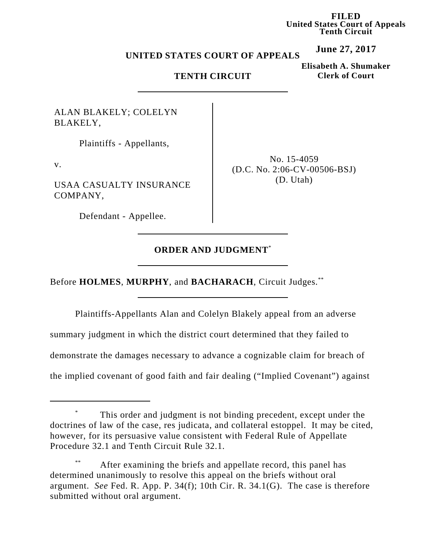**FILED United States Court of Appeals Tenth Circuit**

**June 27, 2017**

#### **UNITED STATES COURT OF APPEALS**

### **TENTH CIRCUIT**

**Elisabeth A. Shumaker Clerk of Court**

ALAN BLAKELY; COLELYN BLAKELY,

Plaintiffs - Appellants,

v.

USAA CASUALTY INSURANCE COMPANY,

Defendant - Appellee.

No. 15-4059 (D.C. No. 2:06-CV-00506-BSJ) (D. Utah)

# **ORDER AND JUDGMENT**\*

Before **HOLMES**, **MURPHY**, and **BACHARACH**, Circuit Judges.\*\*

Plaintiffs-Appellants Alan and Colelyn Blakely appeal from an adverse

summary judgment in which the district court determined that they failed to

demonstrate the damages necessary to advance a cognizable claim for breach of

the implied covenant of good faith and fair dealing ("Implied Covenant") against

This order and judgment is not binding precedent, except under the doctrines of law of the case, res judicata, and collateral estoppel. It may be cited, however, for its persuasive value consistent with Federal Rule of Appellate Procedure 32.1 and Tenth Circuit Rule 32.1.

After examining the briefs and appellate record, this panel has determined unanimously to resolve this appeal on the briefs without oral argument. *See* Fed. R. App. P. 34(f); 10th Cir. R. 34.1(G). The case is therefore submitted without oral argument.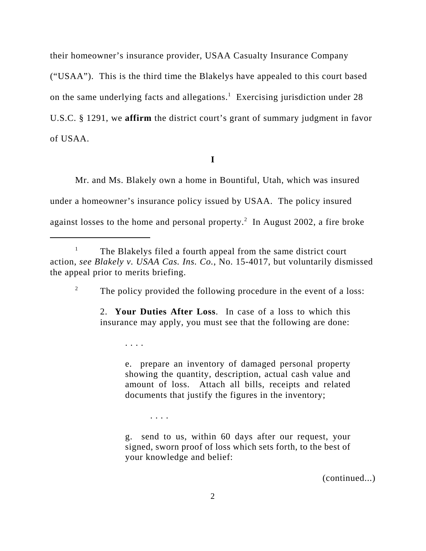their homeowner's insurance provider, USAA Casualty Insurance Company ("USAA"). This is the third time the Blakelys have appealed to this court based on the same underlying facts and allegations.<sup>1</sup> Exercising jurisdiction under 28 U.S.C. § 1291, we **affirm** the district court's grant of summary judgment in favor of USAA.

**I**

Mr. and Ms. Blakely own a home in Bountiful, Utah, which was insured under a homeowner's insurance policy issued by USAA. The policy insured against losses to the home and personal property.<sup>2</sup> In August 2002, a fire broke

<sup>2</sup> The policy provided the following procedure in the event of a loss:

2. **Your Duties After Loss**. In case of a loss to which this insurance may apply, you must see that the following are done:

. . . .

e. prepare an inventory of damaged personal property showing the quantity, description, actual cash value and amount of loss. Attach all bills, receipts and related documents that justify the figures in the inventory;

. . . .

g. send to us, within 60 days after our request, your signed, sworn proof of loss which sets forth, to the best of your knowledge and belief:

(continued...)

<sup>&</sup>lt;sup>1</sup> The Blakelys filed a fourth appeal from the same district court action, *see Blakely v. USAA Cas. Ins. Co.*, No. 15-4017, but voluntarily dismissed the appeal prior to merits briefing.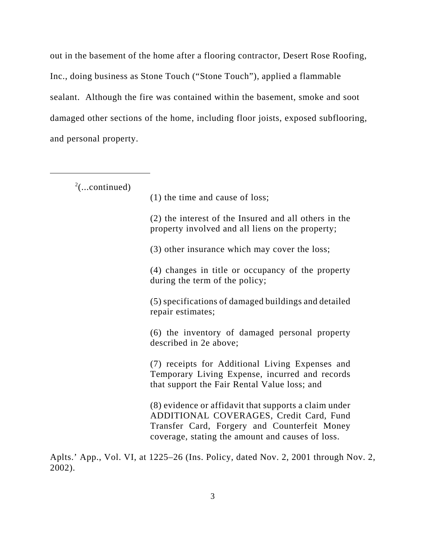out in the basement of the home after a flooring contractor, Desert Rose Roofing, Inc., doing business as Stone Touch ("Stone Touch"), applied a flammable sealant.Although the fire was contained within the basement, smoke and soot damaged other sections of the home, including floor joists, exposed subflooring, and personal property.

 $2$ (...continued)

(1) the time and cause of loss;

(2) the interest of the Insured and all others in the property involved and all liens on the property;

(3) other insurance which may cover the loss;

(4) changes in title or occupancy of the property during the term of the policy;

(5) specifications of damaged buildings and detailed repair estimates;

(6) the inventory of damaged personal property described in 2e above;

(7) receipts for Additional Living Expenses and Temporary Living Expense, incurred and records that support the Fair Rental Value loss; and

(8) evidence or affidavit that supports a claim under ADDITIONAL COVERAGES, Credit Card, Fund Transfer Card, Forgery and Counterfeit Money coverage, stating the amount and causes of loss.

Aplts.' App., Vol. VI, at 1225–26 (Ins. Policy, dated Nov. 2, 2001 through Nov. 2, 2002).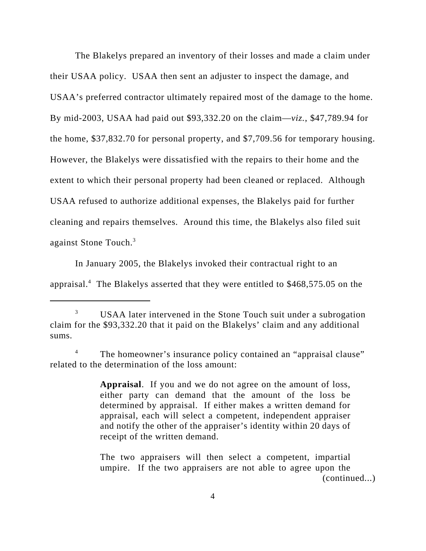The Blakelys prepared an inventory of their losses and made a claim under their USAA policy.USAA then sent an adjuster to inspect the damage, and USAA's preferred contractor ultimately repaired most of the damage to the home. By mid-2003, USAA had paid out \$93,332.20 on the claim—*viz.*, \$47,789.94 for the home, \$37,832.70 for personal property, and \$7,709.56 for temporary housing. However, the Blakelys were dissatisfied with the repairs to their home and the extent to which their personal property had been cleaned or replaced.Although USAA refused to authorize additional expenses, the Blakelys paid for further cleaning and repairs themselves.Around this time, the Blakelys also filed suit against Stone Touch.3

In January 2005, the Blakelys invoked their contractual right to an appraisal.<sup>4</sup> The Blakelys asserted that they were entitled to \$468,575.05 on the

<sup>4</sup> The homeowner's insurance policy contained an "appraisal clause" related to the determination of the loss amount:

> **Appraisal**. If you and we do not agree on the amount of loss, either party can demand that the amount of the loss be determined by appraisal. If either makes a written demand for appraisal, each will select a competent, independent appraiser and notify the other of the appraiser's identity within 20 days of receipt of the written demand.

The two appraisers will then select a competent, impartial umpire. If the two appraisers are not able to agree upon the (continued...)

<sup>&</sup>lt;sup>3</sup> USAA later intervened in the Stone Touch suit under a subrogation claim for the \$93,332.20 that it paid on the Blakelys' claim and any additional sums.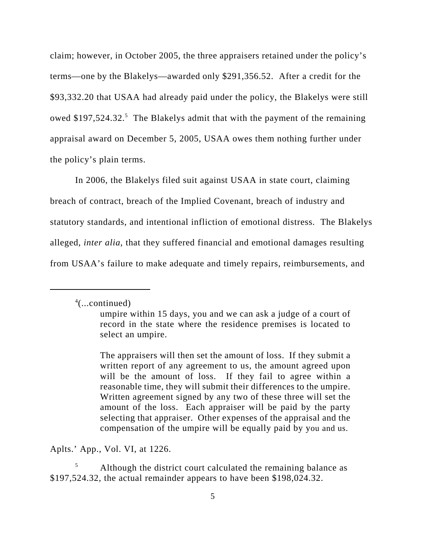claim; however, in October 2005, the three appraisers retained under the policy's terms—one by the Blakelys—awarded only \$291,356.52. After a credit for the \$93,332.20 that USAA had already paid under the policy, the Blakelys were still owed \$197,524.32.<sup>5</sup> The Blakelys admit that with the payment of the remaining appraisal award on December 5, 2005, USAA owes them nothing further under the policy's plain terms.

In 2006, the Blakelys filed suit against USAA in state court, claiming breach of contract, breach of the Implied Covenant, breach of industry and statutory standards, and intentional infliction of emotional distress. The Blakelys alleged, *inter alia*, that they suffered financial and emotional damages resulting from USAA's failure to make adequate and timely repairs, reimbursements, and

4 (...continued)

Aplts.' App., Vol. VI, at 1226.

Although the district court calculated the remaining balance as \$197,524.32, the actual remainder appears to have been \$198,024.32.

umpire within 15 days, you and we can ask a judge of a court of record in the state where the residence premises is located to select an umpire.

The appraisers will then set the amount of loss. If they submit a written report of any agreement to us, the amount agreed upon will be the amount of loss. If they fail to agree within a reasonable time, they will submit their differences to the umpire. Written agreement signed by any two of these three will set the amount of the loss. Each appraiser will be paid by the party selecting that appraiser. Other expenses of the appraisal and the compensation of the umpire will be equally paid by you and us.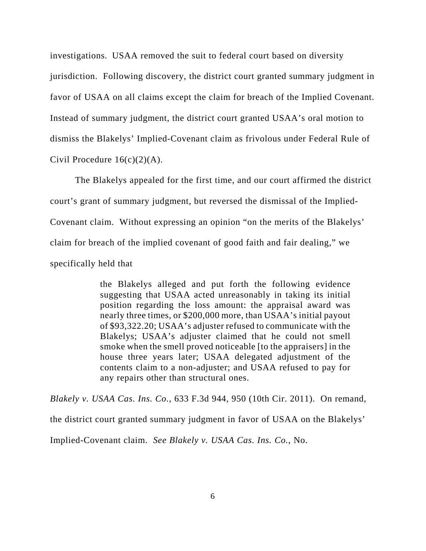investigations. USAA removed the suit to federal court based on diversity jurisdiction. Following discovery, the district court granted summary judgment in favor of USAA on all claims except the claim for breach of the Implied Covenant. Instead of summary judgment, the district court granted USAA's oral motion to dismiss the Blakelys' Implied-Covenant claim as frivolous under Federal Rule of Civil Procedure  $16(c)(2)(A)$ .

The Blakelys appealed for the first time, and our court affirmed the district court's grant of summary judgment, but reversed the dismissal of the Implied-Covenant claim. Without expressing an opinion "on the merits of the Blakelys' claim for breach of the implied covenant of good faith and fair dealing," we specifically held that

> the Blakelys alleged and put forth the following evidence suggesting that USAA acted unreasonably in taking its initial position regarding the loss amount: the appraisal award was nearly three times, or \$200,000 more, than USAA's initial payout of \$93,322.20; USAA's adjuster refused to communicate with the Blakelys; USAA's adjuster claimed that he could not smell smoke when the smell proved noticeable [to the appraisers] in the house three years later; USAA delegated adjustment of the contents claim to a non-adjuster; and USAA refused to pay for any repairs other than structural ones.

*Blakely v. USAA Cas. Ins. Co.*, 633 F.3d 944, 950 (10th Cir. 2011).On remand, the district court granted summary judgment in favor of USAA on the Blakelys' Implied-Covenant claim. *See Blakely v. USAA Cas. Ins. Co.*, No.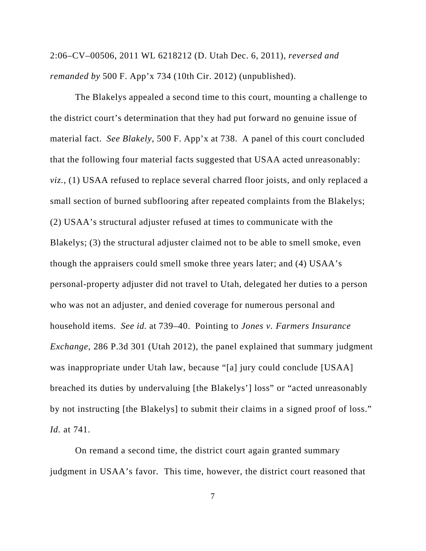2:06–CV–00506, 2011 WL 6218212 (D. Utah Dec. 6, 2011), *reversed and remanded by* 500 F. App'x 734 (10th Cir. 2012) (unpublished).

The Blakelys appealed a second time to this court, mounting a challenge to the district court's determination that they had put forward no genuine issue of material fact. *See Blakely*, 500 F. App'x at 738. A panel of this court concluded that the following four material facts suggested that USAA acted unreasonably: *viz.*, (1) USAA refused to replace several charred floor joists, and only replaced a small section of burned subflooring after repeated complaints from the Blakelys; (2) USAA's structural adjuster refused at times to communicate with the Blakelys; (3) the structural adjuster claimed not to be able to smell smoke, even though the appraisers could smell smoke three years later; and (4) USAA's personal-property adjuster did not travel to Utah, delegated her duties to a person who was not an adjuster, and denied coverage for numerous personal and household items. *See id.* at 739–40. Pointing to *Jones v. Farmers Insurance Exchange*, 286 P.3d 301 (Utah 2012), the panel explained that summary judgment was inappropriate under Utah law, because "[a] jury could conclude [USAA] breached its duties by undervaluing [the Blakelys'] loss" or "acted unreasonably by not instructing [the Blakelys] to submit their claims in a signed proof of loss." *Id.* at 741.

On remand a second time, the district court again granted summary judgment in USAA's favor.This time, however, the district court reasoned that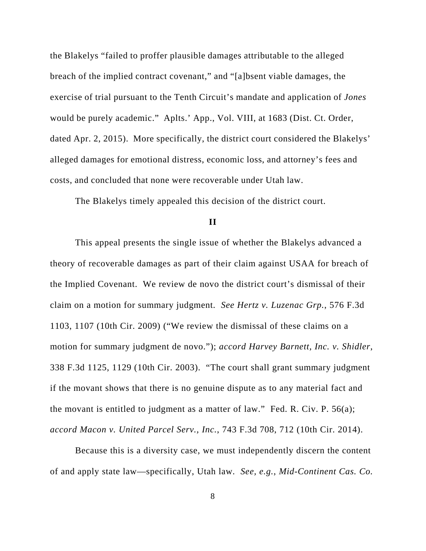the Blakelys "failed to proffer plausible damages attributable to the alleged breach of the implied contract covenant," and "[a]bsent viable damages, the exercise of trial pursuant to the Tenth Circuit's mandate and application of *Jones* would be purely academic." Aplts.' App., Vol. VIII, at 1683 (Dist. Ct. Order, dated Apr. 2, 2015).More specifically, the district court considered the Blakelys' alleged damages for emotional distress, economic loss, and attorney's fees and costs, and concluded that none were recoverable under Utah law.

The Blakelys timely appealed this decision of the district court.

#### **II**

This appeal presents the single issue of whether the Blakelys advanced a theory of recoverable damages as part of their claim against USAA for breach of the Implied Covenant. We review de novo the district court's dismissal of their claim on a motion for summary judgment. *See Hertz v. Luzenac Grp.*, 576 F.3d 1103, 1107 (10th Cir. 2009) ("We review the dismissal of these claims on a motion for summary judgment de novo."); *accord Harvey Barnett, Inc. v. Shidler*, 338 F.3d 1125, 1129 (10th Cir. 2003). "The court shall grant summary judgment if the movant shows that there is no genuine dispute as to any material fact and the movant is entitled to judgment as a matter of law." Fed. R. Civ. P. 56(a); *accord Macon v. United Parcel Serv., Inc.*, 743 F.3d 708, 712 (10th Cir. 2014).

Because this is a diversity case, we must independently discern the content of and apply state law—specifically, Utah law. *See, e.g.*, *Mid-Continent Cas. Co.*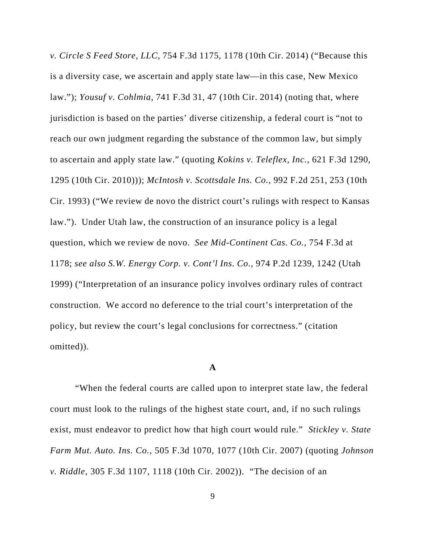*v. Circle S Feed Store, LLC*, 754 F.3d 1175, 1178 (10th Cir. 2014) ("Because this is a diversity case, we ascertain and apply state law—in this case, New Mexico law."); *Yousuf v. Cohlmia*, 741 F.3d 31, 47 (10th Cir. 2014) (noting that, where jurisdiction is based on the parties' diverse citizenship, a federal court is "not to reach our own judgment regarding the substance of the common law, but simply to ascertain and apply state law." (quoting *Kokins v. Teleflex, Inc.*, 621 F.3d 1290, 1295 (10th Cir. 2010))); *McIntosh v. Scottsdale Ins. Co.*, 992 F.2d 251, 253 (10th Cir. 1993) ("We review de novo the district court's rulings with respect to Kansas law."). Under Utah law, the construction of an insurance policy is a legal question, which we review de novo. *See Mid-Continent Cas. Co.*, 754 F.3d at 1178; *see also S.W. Energy Corp. v. Cont'l Ins. Co.*, 974 P.2d 1239, 1242 (Utah 1999) ("Interpretation of an insurance policy involves ordinary rules of contract construction. We accord no deference to the trial court's interpretation of the policy, but review the court's legal conclusions for correctness." (citation omitted)).

### **A**

"When the federal courts are called upon to interpret state law, the federal court must look to the rulings of the highest state court, and, if no such rulings exist, must endeavor to predict how that high court would rule." *Stickley v. State Farm Mut. Auto. Ins. Co.*, 505 F.3d 1070, 1077 (10th Cir. 2007) (quoting *Johnson v. Riddle*, 305 F.3d 1107, 1118 (10th Cir. 2002)). "The decision of an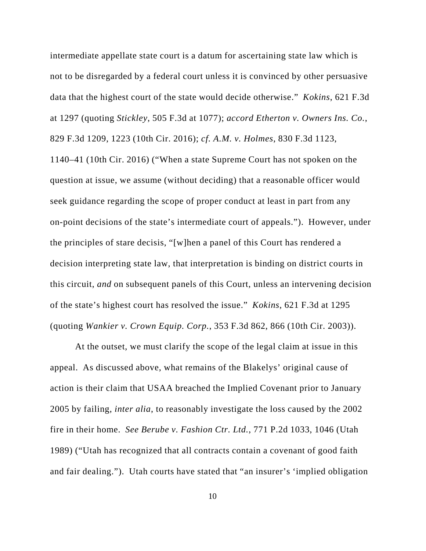intermediate appellate state court is a datum for ascertaining state law which is not to be disregarded by a federal court unless it is convinced by other persuasive data that the highest court of the state would decide otherwise." *Kokins*, 621 F.3d at 1297 (quoting *Stickley*, 505 F.3d at 1077); *accord Etherton v. Owners Ins. Co.*, 829 F.3d 1209, 1223 (10th Cir. 2016); *cf. A.M. v. Holmes*, 830 F.3d 1123, 1140–41 (10th Cir. 2016) ("When a state Supreme Court has not spoken on the question at issue, we assume (without deciding) that a reasonable officer would seek guidance regarding the scope of proper conduct at least in part from any on-point decisions of the state's intermediate court of appeals."). However, under the principles of stare decisis, "[w]hen a panel of this Court has rendered a decision interpreting state law, that interpretation is binding on district courts in this circuit, *and* on subsequent panels of this Court, unless an intervening decision of the state's highest court has resolved the issue." *Kokins*, 621 F.3d at 1295 (quoting *Wankier v. Crown Equip. Corp.*, 353 F.3d 862, 866 (10th Cir. 2003)).

At the outset, we must clarify the scope of the legal claim at issue in this appeal. As discussed above, what remains of the Blakelys' original cause of action is their claim that USAA breached the Implied Covenant prior to January 2005 by failing, *inter alia*, to reasonably investigate the loss caused by the 2002 fire in their home. *See Berube v. Fashion Ctr. Ltd.*, 771 P.2d 1033, 1046 (Utah 1989) ("Utah has recognized that all contracts contain a covenant of good faith and fair dealing."). Utah courts have stated that "an insurer's 'implied obligation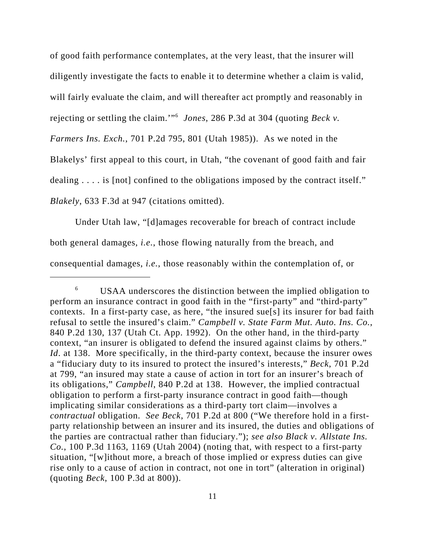of good faith performance contemplates, at the very least, that the insurer will diligently investigate the facts to enable it to determine whether a claim is valid, will fairly evaluate the claim, and will thereafter act promptly and reasonably in rejecting or settling the claim.'"6 *Jones*, 286 P.3d at 304 (quoting *Beck v. Farmers Ins. Exch.*, 701 P.2d 795, 801 (Utah 1985)). As we noted in the Blakelys' first appeal to this court, in Utah, "the covenant of good faith and fair dealing . . . . is [not] confined to the obligations imposed by the contract itself." *Blakely*, 633 F.3d at 947 (citations omitted).

Under Utah law, "[d]amages recoverable for breach of contract include both general damages, *i.e.*, those flowing naturally from the breach, and consequential damages, *i.e.*, those reasonably within the contemplation of, or

<sup>6</sup> USAA underscores the distinction between the implied obligation to perform an insurance contract in good faith in the "first-party" and "third-party" contexts. In a first-party case, as here, "the insured sue[s] its insurer for bad faith refusal to settle the insured's claim." *Campbell v. State Farm Mut. Auto. Ins. Co.*, 840 P.2d 130, 137 (Utah Ct. App. 1992). On the other hand, in the third-party context, "an insurer is obligated to defend the insured against claims by others." *Id.* at 138. More specifically, in the third-party context, because the insurer owes a "fiduciary duty to its insured to protect the insured's interests," *Beck*, 701 P.2d at 799, "an insured may state a cause of action in tort for an insurer's breach of its obligations," *Campbell*, 840 P.2d at 138. However, the implied contractual obligation to perform a first-party insurance contract in good faith—though implicating similar considerations as a third-party tort claim—involves a *contractual* obligation. *See Beck*, 701 P.2d at 800 ("We therefore hold in a firstparty relationship between an insurer and its insured, the duties and obligations of the parties are contractual rather than fiduciary."); *see also Black v. Allstate Ins. Co.*, 100 P.3d 1163, 1169 (Utah 2004) (noting that, with respect to a first-party situation, "[w]ithout more, a breach of those implied or express duties can give rise only to a cause of action in contract, not one in tort" (alteration in original) (quoting *Beck*, 100 P.3d at 800)).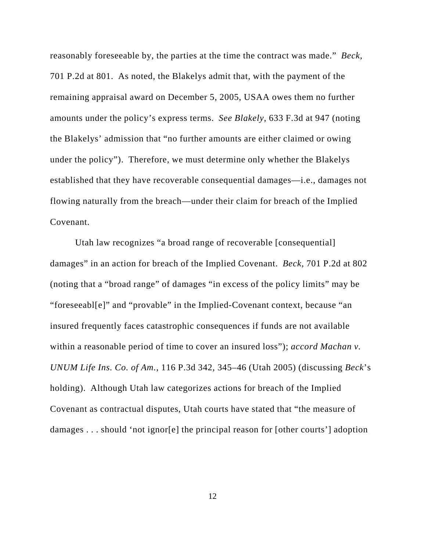reasonably foreseeable by, the parties at the time the contract was made." *Beck*, 701 P.2d at 801. As noted, the Blakelys admit that, with the payment of the remaining appraisal award on December 5, 2005, USAA owes them no further amounts under the policy's express terms. *See Blakely*, 633 F.3d at 947 (noting the Blakelys' admission that "no further amounts are either claimed or owing under the policy"). Therefore, we must determine only whether the Blakelys established that they have recoverable consequential damages—i.e., damages not flowing naturally from the breach—under their claim for breach of the Implied Covenant.

Utah law recognizes "a broad range of recoverable [consequential] damages" in an action for breach of the Implied Covenant. *Beck*, 701 P.2d at 802 (noting that a "broad range" of damages "in excess of the policy limits" may be "foreseeabl[e]" and "provable" in the Implied-Covenant context, because "an insured frequently faces catastrophic consequences if funds are not available within a reasonable period of time to cover an insured loss"); *accord Machan v. UNUM Life Ins. Co. of Am.*, 116 P.3d 342, 345–46 (Utah 2005) (discussing *Beck*'s holding). Although Utah law categorizes actions for breach of the Implied Covenant as contractual disputes, Utah courts have stated that "the measure of damages . . . should 'not ignor[e] the principal reason for [other courts'] adoption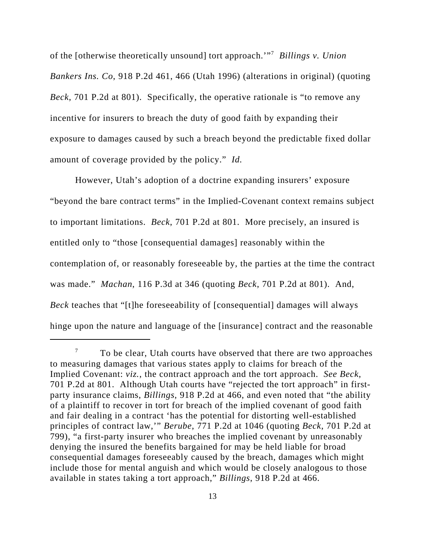of the [otherwise theoretically unsound] tort approach.'"7 *Billings v. Union Bankers Ins. Co*, 918 P.2d 461, 466 (Utah 1996) (alterations in original) (quoting *Beck*, 701 P.2d at 801). Specifically, the operative rationale is "to remove any incentive for insurers to breach the duty of good faith by expanding their exposure to damages caused by such a breach beyond the predictable fixed dollar amount of coverage provided by the policy." *Id.* 

However, Utah's adoption of a doctrine expanding insurers' exposure "beyond the bare contract terms" in the Implied-Covenant context remains subject to important limitations. *Beck*, 701 P.2d at 801. More precisely, an insured is entitled only to "those [consequential damages] reasonably within the contemplation of, or reasonably foreseeable by, the parties at the time the contract was made." *Machan*, 116 P.3d at 346 (quoting *Beck*, 701 P.2d at 801). And, *Beck* teaches that "[t]he foreseeability of [consequential] damages will always hinge upon the nature and language of the [insurance] contract and the reasonable

 $7\degree$  To be clear, Utah courts have observed that there are two approaches to measuring damages that various states apply to claims for breach of the Implied Covenant: *viz.*, the contract approach and the tort approach. *See Beck*, 701 P.2d at 801. Although Utah courts have "rejected the tort approach" in firstparty insurance claims, *Billings*, 918 P.2d at 466, and even noted that "the ability of a plaintiff to recover in tort for breach of the implied covenant of good faith and fair dealing in a contract 'has the potential for distorting well-established principles of contract law,'" *Berube*, 771 P.2d at 1046 (quoting *Beck*, 701 P.2d at 799), "a first-party insurer who breaches the implied covenant by unreasonably denying the insured the benefits bargained for may be held liable for broad consequential damages foreseeably caused by the breach, damages which might include those for mental anguish and which would be closely analogous to those available in states taking a tort approach," *Billings*, 918 P.2d at 466.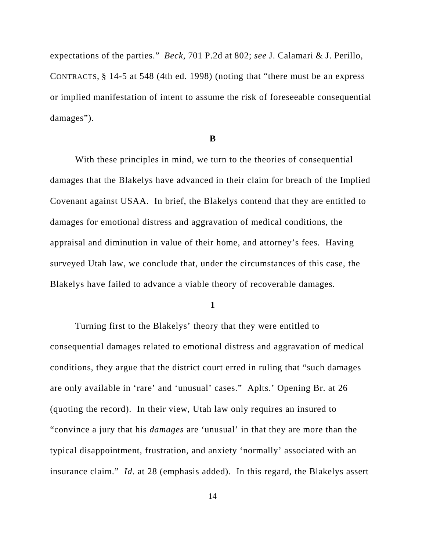expectations of the parties." *Beck*, 701 P.2d at 802; *see* J. Calamari & J. Perillo, CONTRACTS, § 14-5 at 548 (4th ed. 1998) (noting that "there must be an express or implied manifestation of intent to assume the risk of foreseeable consequential damages").

### **B**

With these principles in mind, we turn to the theories of consequential damages that the Blakelys have advanced in their claim for breach of the Implied Covenant against USAA. In brief, the Blakelys contend that they are entitled to damages for emotional distress and aggravation of medical conditions, the appraisal and diminution in value of their home, and attorney's fees. Having surveyed Utah law, we conclude that, under the circumstances of this case, the Blakelys have failed to advance a viable theory of recoverable damages.

#### **1**

Turning first to the Blakelys' theory that they were entitled to consequential damages related to emotional distress and aggravation of medical conditions, they argue that the district court erred in ruling that "such damages are only available in 'rare' and 'unusual' cases." Aplts.' Opening Br. at 26 (quoting the record). In their view, Utah law only requires an insured to "convince a jury that his *damages* are 'unusual' in that they are more than the typical disappointment, frustration, and anxiety 'normally' associated with an insurance claim." *Id*. at 28 (emphasis added). In this regard, the Blakelys assert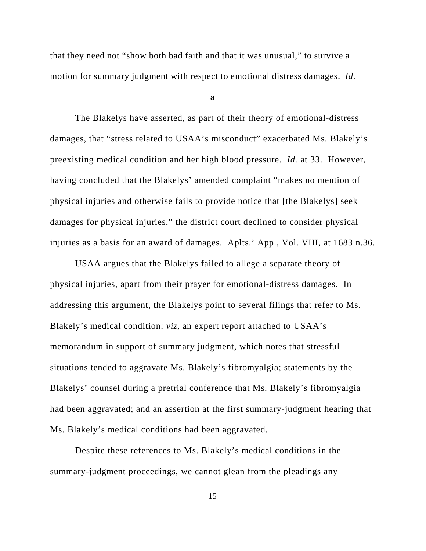that they need not "show both bad faith and that it was unusual," to survive a motion for summary judgment with respect to emotional distress damages. *Id.*

**a**

The Blakelys have asserted, as part of their theory of emotional-distress damages, that "stress related to USAA's misconduct" exacerbated Ms. Blakely's preexisting medical condition and her high blood pressure. *Id.* at 33. However, having concluded that the Blakelys' amended complaint "makes no mention of physical injuries and otherwise fails to provide notice that [the Blakelys] seek damages for physical injuries," the district court declined to consider physical injuries as a basis for an award of damages. Aplts.' App., Vol. VIII, at 1683 n.36.

USAA argues that the Blakelys failed to allege a separate theory of physical injuries, apart from their prayer for emotional-distress damages. In addressing this argument, the Blakelys point to several filings that refer to Ms. Blakely's medical condition: *viz*, an expert report attached to USAA's memorandum in support of summary judgment, which notes that stressful situations tended to aggravate Ms. Blakely's fibromyalgia; statements by the Blakelys' counsel during a pretrial conference that Ms. Blakely's fibromyalgia had been aggravated; and an assertion at the first summary-judgment hearing that Ms. Blakely's medical conditions had been aggravated.

Despite these references to Ms. Blakely's medical conditions in the summary-judgment proceedings, we cannot glean from the pleadings any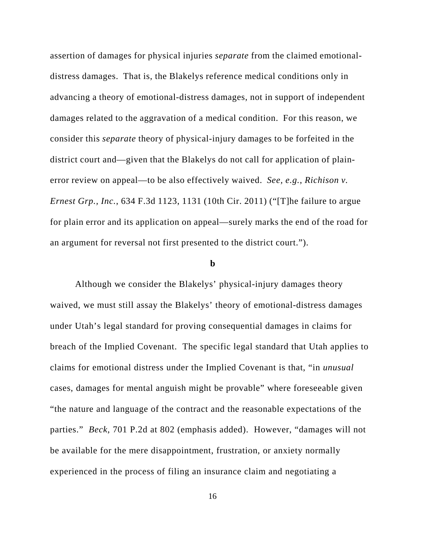assertion of damages for physical injuries *separate* from the claimed emotionaldistress damages. That is, the Blakelys reference medical conditions only in advancing a theory of emotional-distress damages, not in support of independent damages related to the aggravation of a medical condition. For this reason, we consider this *separate* theory of physical-injury damages to be forfeited in the district court and—given that the Blakelys do not call for application of plainerror review on appeal—to be also effectively waived. *See, e.g.*, *Richison v. Ernest Grp., Inc.*, 634 F.3d 1123, 1131 (10th Cir. 2011) ("[T]he failure to argue for plain error and its application on appeal—surely marks the end of the road for an argument for reversal not first presented to the district court.").

#### **b**

Although we consider the Blakelys' physical-injury damages theory waived, we must still assay the Blakelys' theory of emotional-distress damages under Utah's legal standard for proving consequential damages in claims for breach of the Implied Covenant. The specific legal standard that Utah applies to claims for emotional distress under the Implied Covenant is that, "in *unusual* cases, damages for mental anguish might be provable" where foreseeable given "the nature and language of the contract and the reasonable expectations of the parties." *Beck*, 701 P.2d at 802 (emphasis added). However, "damages will not be available for the mere disappointment, frustration, or anxiety normally experienced in the process of filing an insurance claim and negotiating a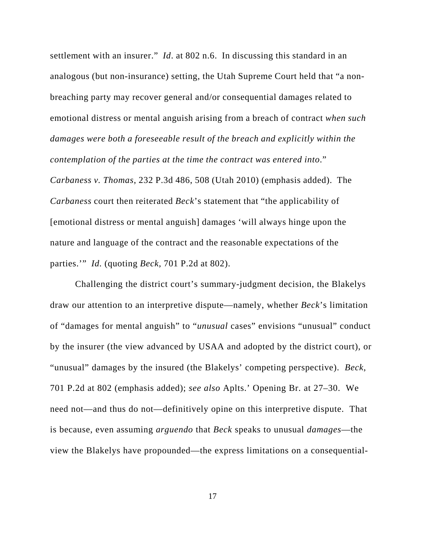settlement with an insurer." *Id*. at 802 n.6. In discussing this standard in an analogous (but non-insurance) setting, the Utah Supreme Court held that "a nonbreaching party may recover general and/or consequential damages related to emotional distress or mental anguish arising from a breach of contract *when such damages were both a foreseeable result of the breach and explicitly within the contemplation of the parties at the time the contract was entered into*." *Carbaness v. Thomas*, 232 P.3d 486, 508 (Utah 2010) (emphasis added). The *Carbaness* court then reiterated *Beck*'s statement that "the applicability of [emotional distress or mental anguish] damages 'will always hinge upon the nature and language of the contract and the reasonable expectations of the parties.'" *Id.* (quoting *Beck*, 701 P.2d at 802).

Challenging the district court's summary-judgment decision, the Blakelys draw our attention to an interpretive dispute—namely, whether *Beck*'s limitation of "damages for mental anguish" to "*unusual* cases" envisions "unusual" conduct by the insurer (the view advanced by USAA and adopted by the district court), or "unusual" damages by the insured (the Blakelys' competing perspective). *Beck*, 701 P.2d at 802 (emphasis added); *see also* Aplts.' Opening Br. at 27–30. We need not—and thus do not—definitively opine on this interpretive dispute. That is because, even assuming *arguendo* that *Beck* speaks to unusual *damages*—the view the Blakelys have propounded—the express limitations on a consequential-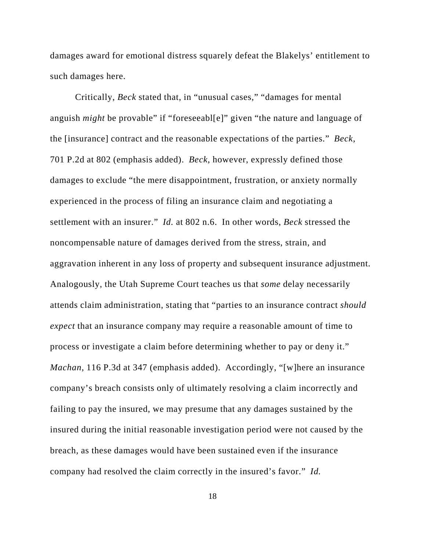damages award for emotional distress squarely defeat the Blakelys' entitlement to such damages here.

Critically, *Beck* stated that, in "unusual cases," "damages for mental anguish *might* be provable" if "foreseeabl[e]" given "the nature and language of the [insurance] contract and the reasonable expectations of the parties." *Beck*, 701 P.2d at 802 (emphasis added). *Beck*, however, expressly defined those damages to exclude "the mere disappointment, frustration, or anxiety normally experienced in the process of filing an insurance claim and negotiating a settlement with an insurer." *Id.* at 802 n.6. In other words, *Beck* stressed the noncompensable nature of damages derived from the stress, strain, and aggravation inherent in any loss of property and subsequent insurance adjustment. Analogously, the Utah Supreme Court teaches us that *some* delay necessarily attends claim administration, stating that "parties to an insurance contract *should expect* that an insurance company may require a reasonable amount of time to process or investigate a claim before determining whether to pay or deny it." *Machan*, 116 P.3d at 347 (emphasis added). Accordingly, "[w]here an insurance company's breach consists only of ultimately resolving a claim incorrectly and failing to pay the insured, we may presume that any damages sustained by the insured during the initial reasonable investigation period were not caused by the breach, as these damages would have been sustained even if the insurance company had resolved the claim correctly in the insured's favor." *Id.*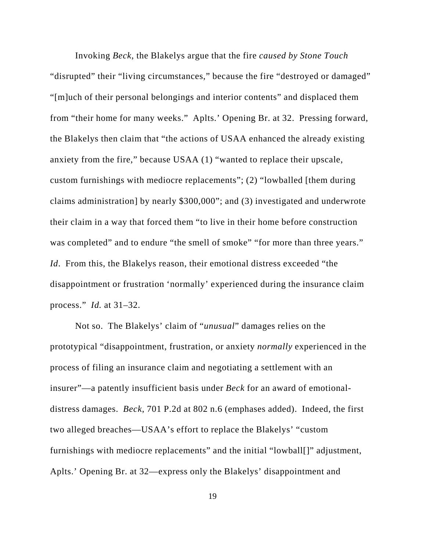Invoking *Beck*, the Blakelys argue that the fire *caused by Stone Touch* "disrupted" their "living circumstances," because the fire "destroyed or damaged" "[m]uch of their personal belongings and interior contents" and displaced them from "their home for many weeks." Aplts.' Opening Br. at 32. Pressing forward, the Blakelys then claim that "the actions of USAA enhanced the already existing anxiety from the fire," because USAA (1) "wanted to replace their upscale, custom furnishings with mediocre replacements"; (2) "lowballed [them during claims administration] by nearly \$300,000"; and (3) investigated and underwrote their claim in a way that forced them "to live in their home before construction was completed" and to endure "the smell of smoke" "for more than three years." *Id*. From this, the Blakelys reason, their emotional distress exceeded "the disappointment or frustration 'normally' experienced during the insurance claim process." *Id.* at 31–32.

Not so. The Blakelys' claim of "*unusual*" damages relies on the prototypical "disappointment, frustration, or anxiety *normally* experienced in the process of filing an insurance claim and negotiating a settlement with an insurer"—a patently insufficient basis under *Beck* for an award of emotionaldistress damages. *Beck*, 701 P.2d at 802 n.6 (emphases added). Indeed, the first two alleged breaches—USAA's effort to replace the Blakelys' "custom furnishings with mediocre replacements" and the initial "lowball[]" adjustment, Aplts.' Opening Br. at 32—express only the Blakelys' disappointment and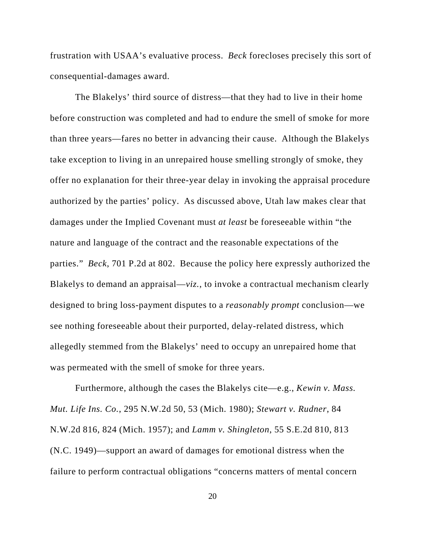frustration with USAA's evaluative process. *Beck* forecloses precisely this sort of consequential-damages award.

The Blakelys' third source of distress—that they had to live in their home before construction was completed and had to endure the smell of smoke for more than three years—fares no better in advancing their cause. Although the Blakelys take exception to living in an unrepaired house smelling strongly of smoke, they offer no explanation for their three-year delay in invoking the appraisal procedure authorized by the parties' policy. As discussed above, Utah law makes clear that damages under the Implied Covenant must *at least* be foreseeable within "the nature and language of the contract and the reasonable expectations of the parties." *Beck*, 701 P.2d at 802. Because the policy here expressly authorized the Blakelys to demand an appraisal—*viz.*, to invoke a contractual mechanism clearly designed to bring loss-payment disputes to a *reasonably prompt* conclusion—we see nothing foreseeable about their purported, delay-related distress, which allegedly stemmed from the Blakelys' need to occupy an unrepaired home that was permeated with the smell of smoke for three years.

Furthermore, although the cases the Blakelys cite—e.g., *Kewin v. Mass. Mut. Life Ins. Co.*, 295 N.W.2d 50, 53 (Mich. 1980); *Stewart v. Rudner*, 84 N.W.2d 816, 824 (Mich. 1957); and *Lamm v. Shingleton*, 55 S.E.2d 810, 813 (N.C. 1949)—support an award of damages for emotional distress when the failure to perform contractual obligations "concerns matters of mental concern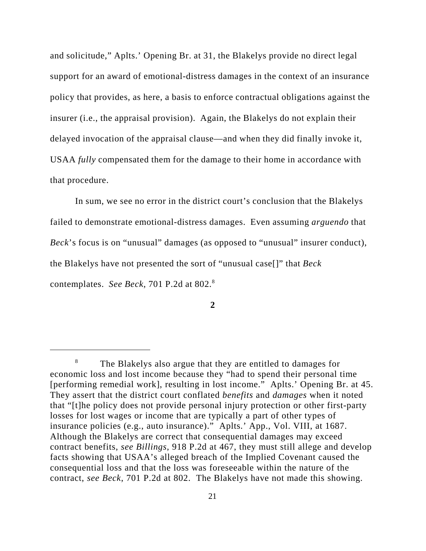and solicitude," Aplts.' Opening Br. at 31, the Blakelys provide no direct legal support for an award of emotional-distress damages in the context of an insurance policy that provides, as here, a basis to enforce contractual obligations against the insurer (i.e., the appraisal provision). Again, the Blakelys do not explain their delayed invocation of the appraisal clause—and when they did finally invoke it, USAA *fully* compensated them for the damage to their home in accordance with that procedure.

In sum, we see no error in the district court's conclusion that the Blakelys failed to demonstrate emotional-distress damages. Even assuming *arguendo* that *Beck*'s focus is on "unusual" damages (as opposed to "unusual" insurer conduct), the Blakelys have not presented the sort of "unusual case[]" that *Beck* contemplates. *See Beck*, 701 P.2d at 802.8

<sup>8</sup> The Blakelys also argue that they are entitled to damages for economic loss and lost income because they "had to spend their personal time [performing remedial work], resulting in lost income." Aplts.' Opening Br. at 45. They assert that the district court conflated *benefits* and *damages* when it noted that "[t]he policy does not provide personal injury protection or other first-party losses for lost wages or income that are typically a part of other types of insurance policies (e.g., auto insurance)." Aplts.' App., Vol. VIII, at 1687. Although the Blakelys are correct that consequential damages may exceed contract benefits, *see Billings*, 918 P.2d at 467, they must still allege and develop facts showing that USAA's alleged breach of the Implied Covenant caused the consequential loss and that the loss was foreseeable within the nature of the contract, *see Beck*, 701 P.2d at 802. The Blakelys have not made this showing.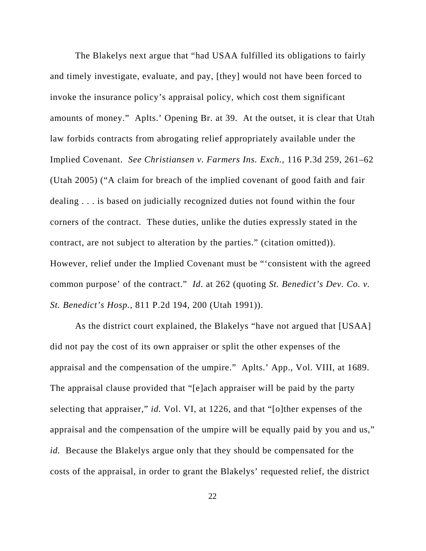The Blakelys next argue that "had USAA fulfilled its obligations to fairly and timely investigate, evaluate, and pay, [they] would not have been forced to invoke the insurance policy's appraisal policy, which cost them significant amounts of money." Aplts.' Opening Br. at 39. At the outset, it is clear that Utah law forbids contracts from abrogating relief appropriately available under the Implied Covenant. *See Christiansen v. Farmers Ins. Exch.*, 116 P.3d 259, 261–62 (Utah 2005) ("A claim for breach of the implied covenant of good faith and fair dealing . . . is based on judicially recognized duties not found within the four corners of the contract. These duties, unlike the duties expressly stated in the contract, are not subject to alteration by the parties." (citation omitted)). However, relief under the Implied Covenant must be "'consistent with the agreed common purpose' of the contract." *Id*. at 262 (quoting *St. Benedict's Dev. Co. v. St. Benedict's Hosp.*, 811 P.2d 194, 200 (Utah 1991)).

As the district court explained, the Blakelys "have not argued that [USAA] did not pay the cost of its own appraiser or split the other expenses of the appraisal and the compensation of the umpire." Aplts.' App., Vol. VIII, at 1689. The appraisal clause provided that "[e]ach appraiser will be paid by the party selecting that appraiser," *id.* Vol. VI, at 1226, and that "[o]ther expenses of the appraisal and the compensation of the umpire will be equally paid by you and us," *id.* Because the Blakelys argue only that they should be compensated for the costs of the appraisal, in order to grant the Blakelys' requested relief, the district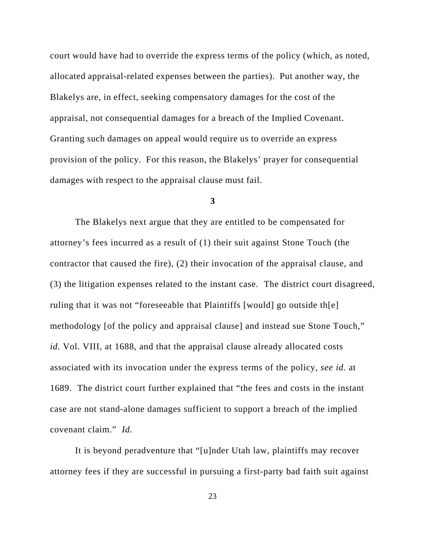court would have had to override the express terms of the policy (which, as noted, allocated appraisal-related expenses between the parties). Put another way, the Blakelys are, in effect, seeking compensatory damages for the cost of the appraisal, not consequential damages for a breach of the Implied Covenant. Granting such damages on appeal would require us to override an express provision of the policy. For this reason, the Blakelys' prayer for consequential damages with respect to the appraisal clause must fail.

#### **3**

The Blakelys next argue that they are entitled to be compensated for attorney's fees incurred as a result of (1) their suit against Stone Touch (the contractor that caused the fire), (2) their invocation of the appraisal clause, and (3) the litigation expenses related to the instant case. The district court disagreed, ruling that it was not "foreseeable that Plaintiffs [would] go outside th[e] methodology [of the policy and appraisal clause] and instead sue Stone Touch," *id.* Vol. VIII, at 1688, and that the appraisal clause already allocated costs associated with its invocation under the express terms of the policy, *see id.* at 1689. The district court further explained that "the fees and costs in the instant case are not stand-alone damages sufficient to support a breach of the implied covenant claim." *Id.*

It is beyond peradventure that "[u]nder Utah law, plaintiffs may recover attorney fees if they are successful in pursuing a first-party bad faith suit against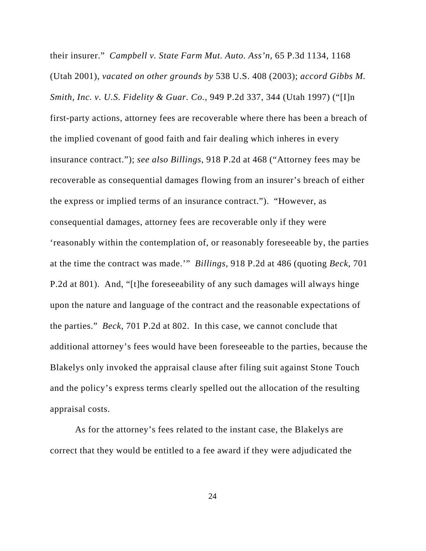their insurer." *Campbell v. State Farm Mut. Auto. Ass'n*, 65 P.3d 1134, 1168 (Utah 2001), *vacated on other grounds by* 538 U.S. 408 (2003); *accord Gibbs M. Smith, Inc. v. U.S. Fidelity & Guar. Co.*, 949 P.2d 337, 344 (Utah 1997) ("[I]n first-party actions, attorney fees are recoverable where there has been a breach of the implied covenant of good faith and fair dealing which inheres in every insurance contract."); *see also Billings*, 918 P.2d at 468 ("Attorney fees may be recoverable as consequential damages flowing from an insurer's breach of either the express or implied terms of an insurance contract."). "However, as consequential damages, attorney fees are recoverable only if they were 'reasonably within the contemplation of, or reasonably foreseeable by, the parties at the time the contract was made.'" *Billings*, 918 P.2d at 486 (quoting *Beck*, 701 P.2d at 801). And, "[t]he foreseeability of any such damages will always hinge upon the nature and language of the contract and the reasonable expectations of the parties." *Beck*, 701 P.2d at 802. In this case, we cannot conclude that additional attorney's fees would have been foreseeable to the parties, because the Blakelys only invoked the appraisal clause after filing suit against Stone Touch and the policy's express terms clearly spelled out the allocation of the resulting appraisal costs.

As for the attorney's fees related to the instant case, the Blakelys are correct that they would be entitled to a fee award if they were adjudicated the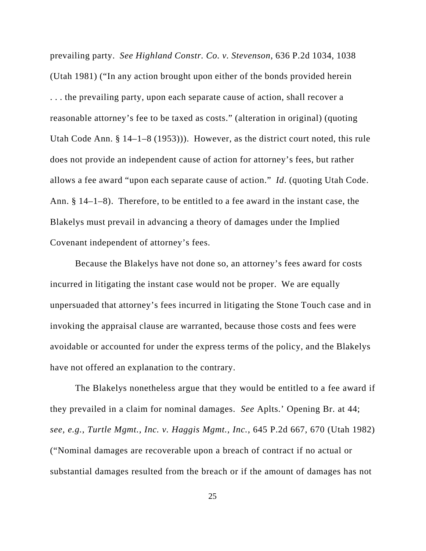prevailing party. *See Highland Constr. Co. v. Stevenson*, 636 P.2d 1034, 1038 (Utah 1981) ("In any action brought upon either of the bonds provided herein . . . the prevailing party, upon each separate cause of action, shall recover a reasonable attorney's fee to be taxed as costs." (alteration in original) (quoting Utah Code Ann. § 14–1–8 (1953))). However, as the district court noted, this rule does not provide an independent cause of action for attorney's fees, but rather allows a fee award "upon each separate cause of action." *Id*. (quoting Utah Code. Ann. § 14–1–8). Therefore, to be entitled to a fee award in the instant case, the Blakelys must prevail in advancing a theory of damages under the Implied Covenant independent of attorney's fees.

Because the Blakelys have not done so, an attorney's fees award for costs incurred in litigating the instant case would not be proper. We are equally unpersuaded that attorney's fees incurred in litigating the Stone Touch case and in invoking the appraisal clause are warranted, because those costs and fees were avoidable or accounted for under the express terms of the policy, and the Blakelys have not offered an explanation to the contrary.

The Blakelys nonetheless argue that they would be entitled to a fee award if they prevailed in a claim for nominal damages. *See* Aplts.' Opening Br. at 44; *see, e.g.*, *Turtle Mgmt., Inc. v. Haggis Mgmt., Inc.*, 645 P.2d 667, 670 (Utah 1982) ("Nominal damages are recoverable upon a breach of contract if no actual or substantial damages resulted from the breach or if the amount of damages has not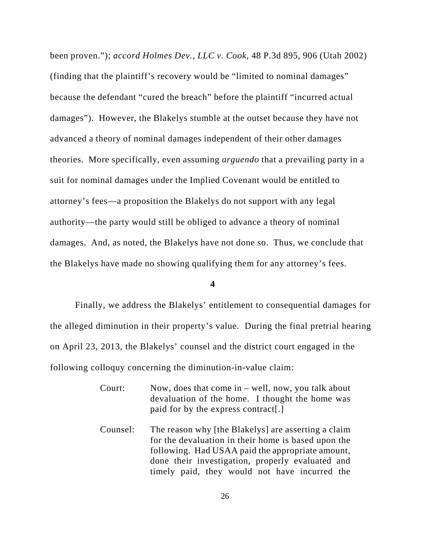been proven."); *accord Holmes Dev., LLC v. Cook*, 48 P.3d 895, 906 (Utah 2002) (finding that the plaintiff's recovery would be "limited to nominal damages" because the defendant "cured the breach" before the plaintiff "incurred actual damages"). However, the Blakelys stumble at the outset because they have not advanced a theory of nominal damages independent of their other damages theories. More specifically, even assuming *arguendo* that a prevailing party in a suit for nominal damages under the Implied Covenant would be entitled to attorney's fees—a proposition the Blakelys do not support with any legal authority—the party would still be obliged to advance a theory of nominal damages. And, as noted, the Blakelys have not done so. Thus, we conclude that the Blakelys have made no showing qualifying them for any attorney's fees.

#### **4**

Finally, we address the Blakelys' entitlement to consequential damages for the alleged diminution in their property's value. During the final pretrial hearing on April 23, 2013, the Blakelys' counsel and the district court engaged in the following colloquy concerning the diminution-in-value claim:

- Court: Now, does that come in well, now, you talk about devaluation of the home. I thought the home was paid for by the express contract[.]
- Counsel: The reason why [the Blakelys] are asserting a claim for the devaluation in their home is based upon the following. Had USAA paid the appropriate amount, done their investigation, properly evaluated and timely paid, they would not have incurred the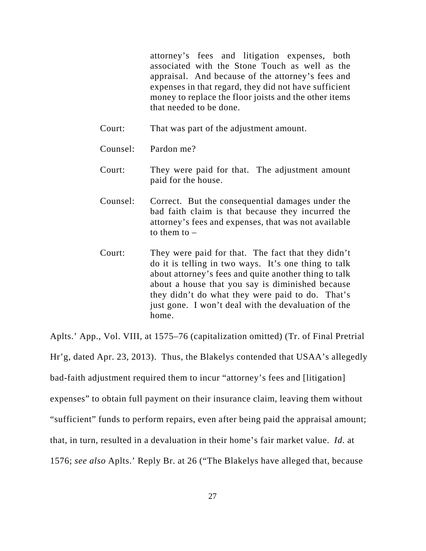attorney's fees and litigation expenses, both associated with the Stone Touch as well as the appraisal. And because of the attorney's fees and expenses in that regard, they did not have sufficient money to replace the floor joists and the other items that needed to be done.

Court: That was part of the adjustment amount.

Counsel: Pardon me?

- Court: They were paid for that. The adjustment amount paid for the house.
- Counsel: Correct. But the consequential damages under the bad faith claim is that because they incurred the attorney's fees and expenses, that was not available to them to –
- Court: They were paid for that. The fact that they didn't do it is telling in two ways. It's one thing to talk about attorney's fees and quite another thing to talk about a house that you say is diminished because they didn't do what they were paid to do. That's just gone. I won't deal with the devaluation of the home.

Aplts.' App., Vol. VIII, at 1575–76 (capitalization omitted) (Tr. of Final Pretrial Hr'g, dated Apr. 23, 2013). Thus, the Blakelys contended that USAA's allegedly bad-faith adjustment required them to incur "attorney's fees and [litigation] expenses" to obtain full payment on their insurance claim, leaving them without "sufficient" funds to perform repairs, even after being paid the appraisal amount; that, in turn, resulted in a devaluation in their home's fair market value. *Id.* at 1576; *see also* Aplts.' Reply Br. at 26 ("The Blakelys have alleged that, because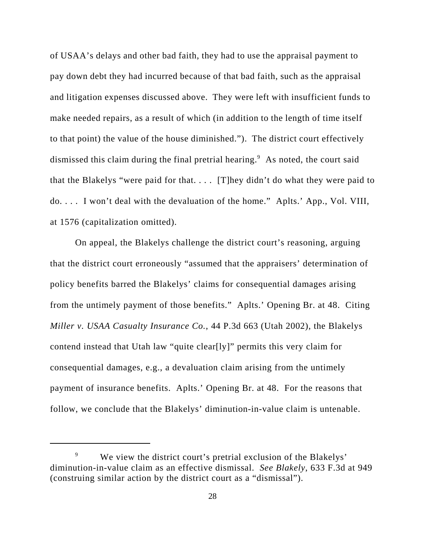of USAA's delays and other bad faith, they had to use the appraisal payment to pay down debt they had incurred because of that bad faith, such as the appraisal and litigation expenses discussed above. They were left with insufficient funds to make needed repairs, as a result of which (in addition to the length of time itself to that point) the value of the house diminished."). The district court effectively dismissed this claim during the final pretrial hearing.<sup>9</sup> As noted, the court said that the Blakelys "were paid for that. . . .[T]hey didn't do what they were paid to do. . . . I won't deal with the devaluation of the home." Aplts.' App., Vol. VIII, at 1576 (capitalization omitted).

On appeal, the Blakelys challenge the district court's reasoning, arguing that the district court erroneously "assumed that the appraisers' determination of policy benefits barred the Blakelys' claims for consequential damages arising from the untimely payment of those benefits." Aplts.' Opening Br. at 48. Citing *Miller v. USAA Casualty Insurance Co.*, 44 P.3d 663 (Utah 2002), the Blakelys contend instead that Utah law "quite clear[ly]" permits this very claim for consequential damages, e.g., a devaluation claim arising from the untimely payment of insurance benefits. Aplts.' Opening Br. at 48. For the reasons that follow, we conclude that the Blakelys' diminution-in-value claim is untenable.

<sup>&</sup>lt;sup>9</sup> We view the district court's pretrial exclusion of the Blakelys' diminution-in-value claim as an effective dismissal. *See Blakely*, 633 F.3d at 949 (construing similar action by the district court as a "dismissal").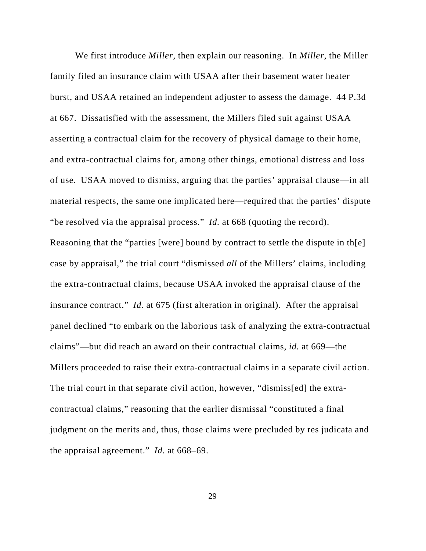We first introduce *Miller*, then explain our reasoning. In *Miller*, the Miller family filed an insurance claim with USAA after their basement water heater burst, and USAA retained an independent adjuster to assess the damage. 44 P.3d at 667. Dissatisfied with the assessment, the Millers filed suit against USAA asserting a contractual claim for the recovery of physical damage to their home, and extra-contractual claims for, among other things, emotional distress and loss of use. USAA moved to dismiss, arguing that the parties' appraisal clause—in all material respects, the same one implicated here—required that the parties' dispute "be resolved via the appraisal process." *Id.* at 668 (quoting the record). Reasoning that the "parties [were] bound by contract to settle the dispute in th[e] case by appraisal," the trial court "dismissed *all* of the Millers' claims, including the extra-contractual claims, because USAA invoked the appraisal clause of the insurance contract." *Id.* at 675 (first alteration in original). After the appraisal panel declined "to embark on the laborious task of analyzing the extra-contractual claims"—but did reach an award on their contractual claims, *id.* at 669—the Millers proceeded to raise their extra-contractual claims in a separate civil action. The trial court in that separate civil action, however, "dismiss[ed] the extracontractual claims," reasoning that the earlier dismissal "constituted a final judgment on the merits and, thus, those claims were precluded by res judicata and the appraisal agreement." *Id.* at 668–69.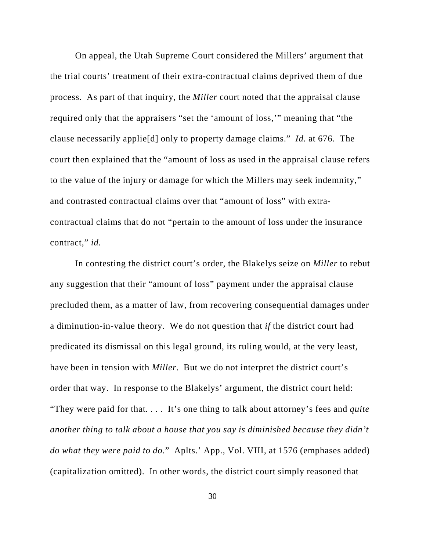On appeal, the Utah Supreme Court considered the Millers' argument that the trial courts' treatment of their extra-contractual claims deprived them of due process. As part of that inquiry, the *Miller* court noted that the appraisal clause required only that the appraisers "set the 'amount of loss,'" meaning that "the clause necessarily applie[d] only to property damage claims." *Id.* at 676. The court then explained that the "amount of loss as used in the appraisal clause refers to the value of the injury or damage for which the Millers may seek indemnity," and contrasted contractual claims over that "amount of loss" with extracontractual claims that do not "pertain to the amount of loss under the insurance contract," *id.*

In contesting the district court's order, the Blakelys seize on *Miller* to rebut any suggestion that their "amount of loss" payment under the appraisal clause precluded them, as a matter of law, from recovering consequential damages under a diminution-in-value theory. We do not question that *if* the district court had predicated its dismissal on this legal ground, its ruling would, at the very least, have been in tension with *Miller*. But we do not interpret the district court's order that way. In response to the Blakelys' argument, the district court held: "They were paid for that*. . . .* It's one thing to talk about attorney's fees and *quite another thing to talk about a house that you say is diminished because they didn't do what they were paid to do*." Aplts.' App., Vol. VIII, at 1576 (emphases added) (capitalization omitted). In other words, the district court simply reasoned that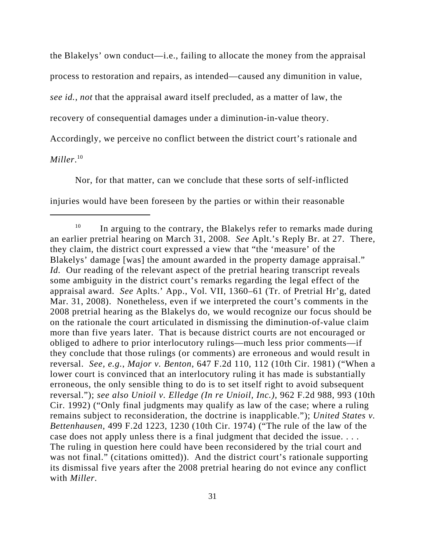the Blakelys' own conduct—i.e., failing to allocate the money from the appraisal process to restoration and repairs, as intended—caused any dimunition in value, *see id.*, *not* that the appraisal award itself precluded, as a matter of law, the recovery of consequential damages under a diminution-in-value theory. Accordingly, we perceive no conflict between the district court's rationale and *Miller*. 10

Nor, for that matter, can we conclude that these sorts of self-inflicted injuries would have been foreseen by the parties or within their reasonable

 $10$  In arguing to the contrary, the Blakelys refer to remarks made during an earlier pretrial hearing on March 31, 2008. *See* Aplt.'s Reply Br. at 27. There, they claim, the district court expressed a view that "the 'measure' of the Blakelys' damage [was] the amount awarded in the property damage appraisal." *Id.* Our reading of the relevant aspect of the pretrial hearing transcript reveals some ambiguity in the district court's remarks regarding the legal effect of the appraisal award. *See* Aplts.' App., Vol. VII, 1360–61 (Tr. of Pretrial Hr'g, dated Mar. 31, 2008). Nonetheless, even if we interpreted the court's comments in the 2008 pretrial hearing as the Blakelys do, we would recognize our focus should be on the rationale the court articulated in dismissing the diminution-of-value claim more than five years later. That is because district courts are not encouraged or obliged to adhere to prior interlocutory rulings—much less prior comments—if they conclude that those rulings (or comments) are erroneous and would result in reversal. *See, e.g.*, *Major v. Benton*, 647 F.2d 110, 112 (10th Cir. 1981) ("When a lower court is convinced that an interlocutory ruling it has made is substantially erroneous, the only sensible thing to do is to set itself right to avoid subsequent reversal."); *see also Unioil v. Elledge (In re Unioil, Inc.)*, 962 F.2d 988, 993 (10th Cir. 1992) ("Only final judgments may qualify as law of the case; where a ruling remains subject to reconsideration, the doctrine is inapplicable."); *United States v. Bettenhausen*, 499 F.2d 1223, 1230 (10th Cir. 1974) ("The rule of the law of the case does not apply unless there is a final judgment that decided the issue. . . . The ruling in question here could have been reconsidered by the trial court and was not final." (citations omitted)). And the district court's rationale supporting its dismissal five years after the 2008 pretrial hearing do not evince any conflict with *Miller*.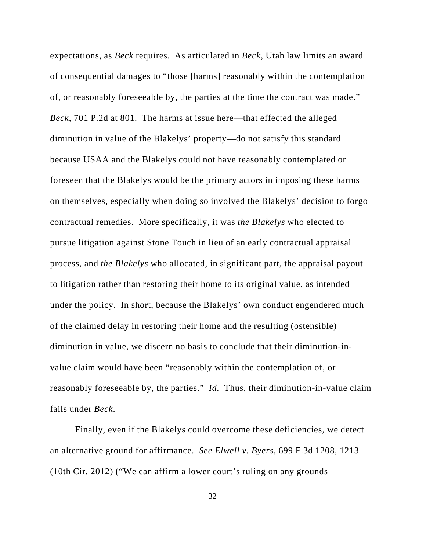expectations, as *Beck* requires. As articulated in *Beck*, Utah law limits an award of consequential damages to "those [harms] reasonably within the contemplation of, or reasonably foreseeable by, the parties at the time the contract was made." *Beck*, 701 P.2d at 801. The harms at issue here—that effected the alleged diminution in value of the Blakelys' property—do not satisfy this standard because USAA and the Blakelys could not have reasonably contemplated or foreseen that the Blakelys would be the primary actors in imposing these harms on themselves, especially when doing so involved the Blakelys' decision to forgo contractual remedies. More specifically, it was *the Blakelys* who elected to pursue litigation against Stone Touch in lieu of an early contractual appraisal process, and *the Blakelys* who allocated, in significant part, the appraisal payout to litigation rather than restoring their home to its original value, as intended under the policy. In short, because the Blakelys' own conduct engendered much of the claimed delay in restoring their home and the resulting (ostensible) diminution in value, we discern no basis to conclude that their diminution-invalue claim would have been "reasonably within the contemplation of, or reasonably foreseeable by, the parties." *Id.* Thus, their diminution-in-value claim fails under *Beck*.

Finally, even if the Blakelys could overcome these deficiencies, we detect an alternative ground for affirmance. *See Elwell v. Byers*, 699 F.3d 1208, 1213 (10th Cir. 2012) ("We can affirm a lower court's ruling on any grounds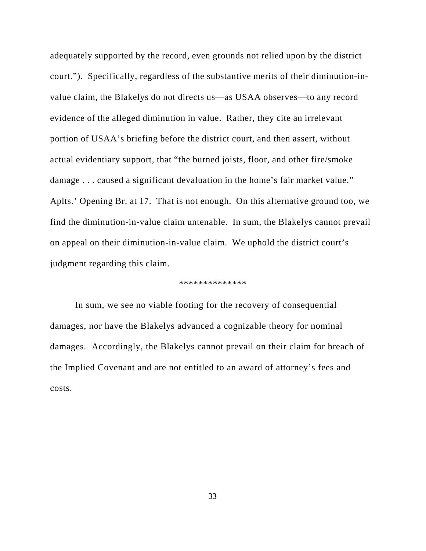adequately supported by the record, even grounds not relied upon by the district court."). Specifically, regardless of the substantive merits of their diminution-invalue claim, the Blakelys do not directs us—as USAA observes—to any record evidence of the alleged diminution in value. Rather, they cite an irrelevant portion of USAA's briefing before the district court, and then assert, without actual evidentiary support, that "the burned joists, floor, and other fire/smoke damage . . . caused a significant devaluation in the home's fair market value." Aplts.' Opening Br. at 17. That is not enough. On this alternative ground too, we find the diminution-in-value claim untenable. In sum, the Blakelys cannot prevail on appeal on their diminution-in-value claim. We uphold the district court's judgment regarding this claim.

#### \*\*\*\*\*\*\*\*\*\*\*\*\*\*

In sum, we see no viable footing for the recovery of consequential damages, nor have the Blakelys advanced a cognizable theory for nominal damages. Accordingly, the Blakelys cannot prevail on their claim for breach of the Implied Covenant and are not entitled to an award of attorney's fees and costs.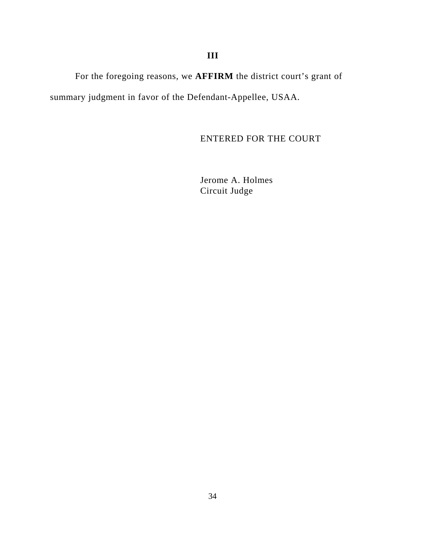For the foregoing reasons, we **AFFIRM** the district court's grant of summary judgment in favor of the Defendant-Appellee, USAA.

ENTERED FOR THE COURT

Jerome A. Holmes Circuit Judge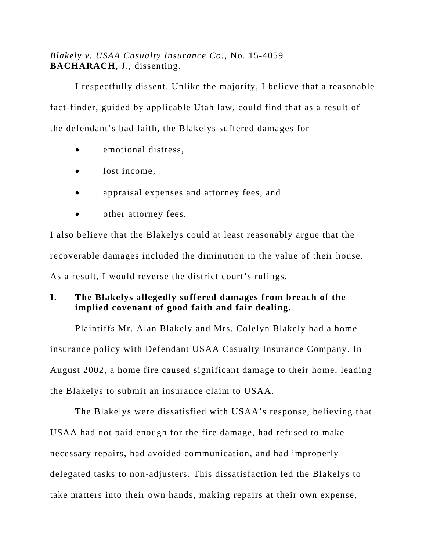# *Blakely v. USAA Casualty Insurance Co.*, No. 15-4059 **BACHARACH**, J., dissenting.

I respectfully dissent. Unlike the majority, I believe that a reasonable fact-finder, guided by applicable Utah law, could find that as a result of the defendant's bad faith, the Blakelys suffered damages for

- emotional distress,
- lost income,
- appraisal expenses and attorney fees, and
- other attorney fees.

I also believe that the Blakelys could at least reasonably argue that the recoverable damages included the diminution in the value of their house. As a result, I would reverse the district court's rulings.

# **I. The Blakelys allegedly suffered damages from breach of the implied covenant of good faith and fair dealing.**

Plaintiffs Mr. Alan Blakely and Mrs. Colelyn Blakely had a home insurance policy with Defendant USAA Casualty Insurance Company. In August 2002, a home fire caused significant damage to their home, leading the Blakelys to submit an insurance claim to USAA.

The Blakelys were dissatisfied with USAA's response, believing that USAA had not paid enough for the fire damage, had refused to make necessary repairs, had avoided communication, and had improperly delegated tasks to non-adjusters. This dissatisfaction led the Blakelys to take matters into their own hands, making repairs at their own expense,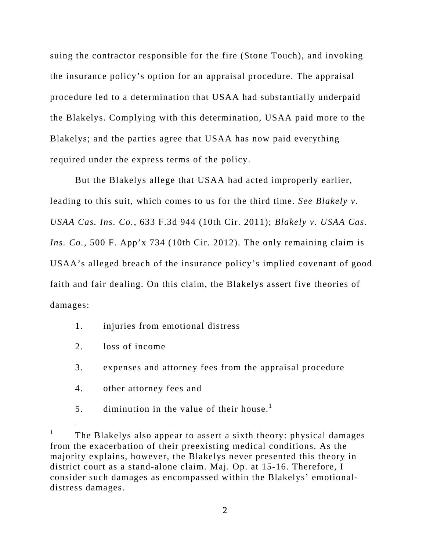suing the contractor responsible for the fire (Stone Touch), and invoking the insurance policy's option for an appraisal procedure. The appraisal procedure led to a determination that USAA had substantially underpaid the Blakelys. Complying with this determination, USAA paid more to the Blakelys; and the parties agree that USAA has now paid everything required under the express terms of the policy.

But the Blakelys allege that USAA had acted improperly earlier, leading to this suit, which comes to us for the third time. *See Blakely v. USAA Cas. Ins. Co.*, 633 F.3d 944 (10th Cir. 2011); *Blakely v. USAA Cas. Ins. Co.*, 500 F. App'x 734 (10th Cir. 2012). The only remaining claim is USAA's alleged breach of the insurance policy's implied covenant of good faith and fair dealing. On this claim, the Blakelys assert five theories of damages:

- 1. injuries from emotional distress
- 2. loss of income
- 3. expenses and attorney fees from the appraisal procedure
- 4. other attorney fees and
- 5. diminution in the value of their house.<sup>1</sup>

 $\frac{1}{1}$ <sup>1</sup> The Blakelys also appear to assert a sixth theory: physical damages from the exacerbation of their preexisting medical conditions. As the majority explains, however, the Blakelys never presented this theory in district court as a stand-alone claim. Maj. Op. at 15-16. Therefore, I consider such damages as encompassed within the Blakelys' emotionaldistress damages.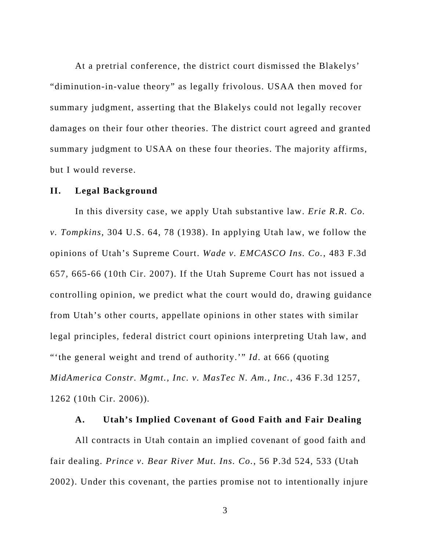At a pretrial conference, the district court dismissed the Blakelys' "diminution-in-value theory" as legally frivolous. USAA then moved for summary judgment, asserting that the Blakelys could not legally recover damages on their four other theories. The district court agreed and granted summary judgment to USAA on these four theories. The majority affirms, but I would reverse.

#### **II. Legal Background**

In this diversity case, we apply Utah substantive law. *Erie R.R. Co. v. Tompkins*, 304 U.S. 64, 78 (1938). In applying Utah law, we follow the opinions of Utah's Supreme Court. *Wade v. EMCASCO Ins. Co.*, 483 F.3d 657, 665-66 (10th Cir. 2007). If the Utah Supreme Court has not issued a controlling opinion, we predict what the court would do, drawing guidance from Utah's other courts, appellate opinions in other states with similar legal principles, federal district court opinions interpreting Utah law, and "'the general weight and trend of authority.'" *Id*. at 666 (quoting *MidAmerica Constr. Mgmt., Inc. v. MasTec N. Am., Inc.*, 436 F.3d 1257, 1262 (10th Cir. 2006))*.* 

#### **A. Utah's Implied Covenant of Good Faith and Fair Dealing**

All contracts in Utah contain an implied covenant of good faith and fair dealing. *Prince v. Bear River Mut. Ins. Co.*, 56 P.3d 524, 533 (Utah 2002). Under this covenant, the parties promise not to intentionally injure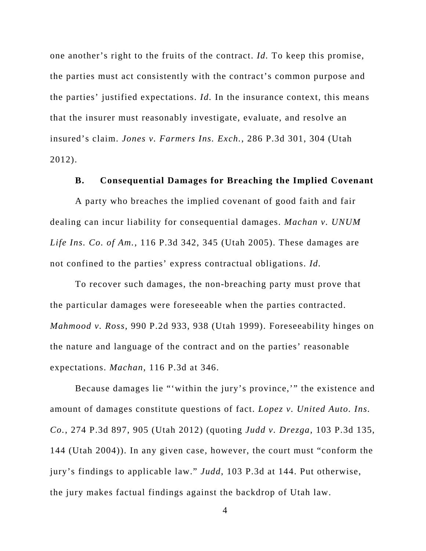one another's right to the fruits of the contract. *Id.* To keep this promise, the parties must act consistently with the contract's common purpose and the parties' justified expectations. *Id.* In the insurance context, this means that the insurer must reasonably investigate, evaluate, and resolve an insured's claim. *Jones v. Farmers Ins. Exch.*, 286 P.3d 301, 304 (Utah 2012).

#### **B. Consequential Damages for Breaching the Implied Covenant**

A party who breaches the implied covenant of good faith and fair dealing can incur liability for consequential damages. *Machan v. UNUM Life Ins. Co. of Am.*, 116 P.3d 342, 345 (Utah 2005). These damages are not confined to the parties' express contractual obligations. *Id.* 

To recover such damages, the non-breaching party must prove that the particular damages were foreseeable when the parties contracted. *Mahmood v. Ross*, 990 P.2d 933, 938 (Utah 1999). Foreseeability hinges on the nature and language of the contract and on the parties' reasonable expectations. *Machan*, 116 P.3d at 346.

Because damages lie "'within the jury's province,'" the existence and amount of damages constitute questions of fact. *Lopez v. United Auto. Ins. Co.*, 274 P.3d 897, 905 (Utah 2012) (quoting *Judd v. Drezga*, 103 P.3d 135, 144 (Utah 2004)). In any given case, however, the court must "conform the jury's findings to applicable law." *Judd*, 103 P.3d at 144. Put otherwise, the jury makes factual findings against the backdrop of Utah law.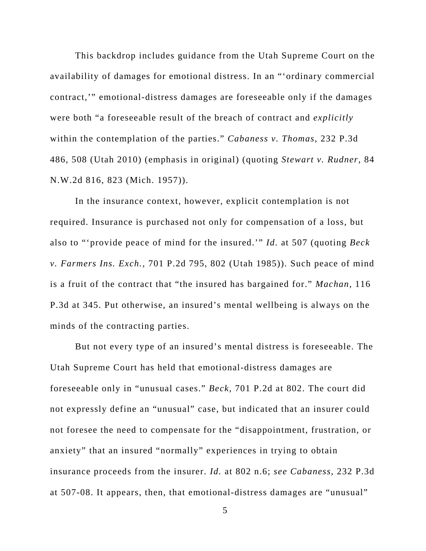This backdrop includes guidance from the Utah Supreme Court on the availability of damages for emotional distress. In an "'ordinary commercial contract,'" emotional-distress damages are foreseeable only if the damages were both "a foreseeable result of the breach of contract and *explicitly*  within the contemplation of the parties." *Cabaness v. Thomas*, 232 P.3d 486, 508 (Utah 2010) (emphasis in original) (quoting *Stewart v. Rudner*, 84 N.W.2d 816, 823 (Mich. 1957)).

In the insurance context, however, explicit contemplation is not required. Insurance is purchased not only for compensation of a loss, but also to "'provide peace of mind for the insured.'" *Id.* at 507 (quoting *Beck v. Farmers Ins. Exch.*, 701 P.2d 795, 802 (Utah 1985)). Such peace of mind is a fruit of the contract that "the insured has bargained for." *Machan*, 116 P.3d at 345. Put otherwise, an insured's mental wellbeing is always on the minds of the contracting parties.

But not every type of an insured's mental distress is foreseeable. The Utah Supreme Court has held that emotional-distress damages are foreseeable only in "unusual cases." *Beck*, 701 P.2d at 802. The court did not expressly define an "unusual" case, but indicated that an insurer could not foresee the need to compensate for the "disappointment, frustration, or anxiety" that an insured "normally" experiences in trying to obtain insurance proceeds from the insurer. *Id.* at 802 n.6; *see Cabaness*, 232 P.3d at 507-08. It appears, then, that emotional-distress damages are "unusual"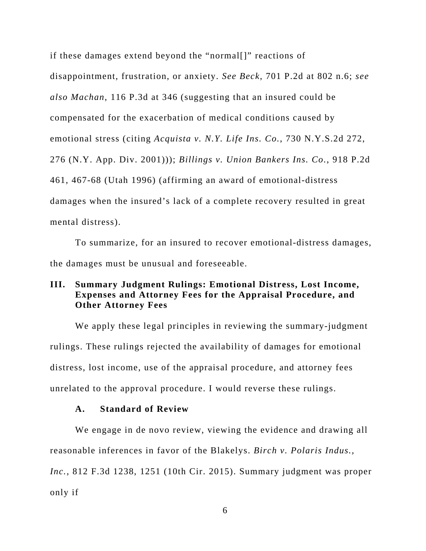if these damages extend beyond the "normal[]" reactions of disappointment, frustration, or anxiety. *See Beck*, 701 P.2d at 802 n.6; *see also Machan*, 116 P.3d at 346 (suggesting that an insured could be compensated for the exacerbation of medical conditions caused by emotional stress (citing *Acquista v. N.Y. Life Ins. Co.*, 730 N.Y.S.2d 272, 276 (N.Y. App. Div. 2001))); *Billings v. Union Bankers Ins. Co.*, 918 P.2d 461, 467-68 (Utah 1996) (affirming an award of emotional-distress damages when the insured's lack of a complete recovery resulted in great mental distress).

To summarize, for an insured to recover emotional-distress damages, the damages must be unusual and foreseeable.

## **III. Summary Judgment Rulings: Emotional Distress, Lost Income, Expenses and Attorney Fees for the Appraisal Procedure, and Other Attorney Fees**

 We apply these legal principles in reviewing the summary-judgment rulings. These rulings rejected the availability of damages for emotional distress, lost income, use of the appraisal procedure, and attorney fees unrelated to the approval procedure. I would reverse these rulings.

### **A. Standard of Review**

We engage in de novo review, viewing the evidence and drawing all reasonable inferences in favor of the Blakelys. *Birch v. Polaris Indus., Inc.*, 812 F.3d 1238, 1251 (10th Cir. 2015). Summary judgment was proper only if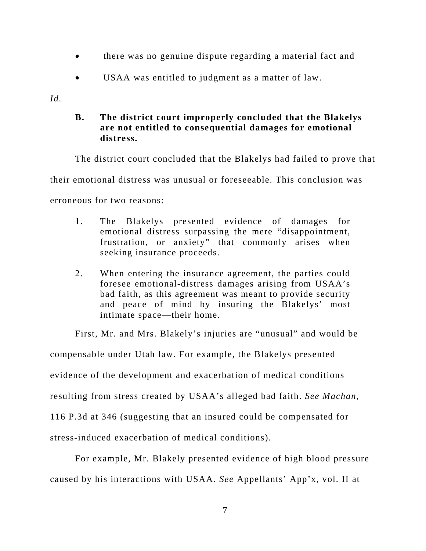- there was no genuine dispute regarding a material fact and
- USAA was entitled to judgment as a matter of law.

*Id.*

# **B. The district court improperly concluded that the Blakelys are not entitled to consequential damages for emotional distress.**

The district court concluded that the Blakelys had failed to prove that their emotional distress was unusual or foreseeable. This conclusion was erroneous for two reasons:

- 1. The Blakelys presented evidence of damages for emotional distress surpassing the mere "disappointment, frustration, or anxiety" that commonly arises when seeking insurance proceeds.
- 2. When entering the insurance agreement, the parties could foresee emotional-distress damages arising from USAA's bad faith, as this agreement was meant to provide security and peace of mind by insuring the Blakelys' most intimate space—their home.

First, Mr. and Mrs. Blakely's injuries are "unusual" and would be compensable under Utah law. For example, the Blakelys presented evidence of the development and exacerbation of medical conditions resulting from stress created by USAA's alleged bad faith. *See Machan*, 116 P.3d at 346 (suggesting that an insured could be compensated for stress-induced exacerbation of medical conditions).

For example, Mr. Blakely presented evidence of high blood pressure caused by his interactions with USAA. *See* Appellants' App'x, vol. II at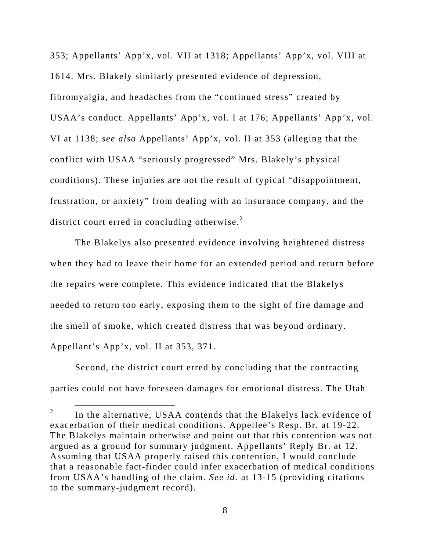353; Appellants' App'x, vol. VII at 1318; Appellants' App'x, vol. VIII at 1614. Mrs. Blakely similarly presented evidence of depression, fibromyalgia, and headaches from the "continued stress" created by USAA's conduct. Appellants' App'x, vol. I at 176; Appellants' App'x, vol. VI at 1138; *see also* Appellants' App'x, vol. II at 353 (alleging that the conflict with USAA "seriously progressed" Mrs. Blakely's physical conditions). These injuries are not the result of typical "disappointment, frustration, or anxiety" from dealing with an insurance company, and the district court erred in concluding otherwise. $2$ 

The Blakelys also presented evidence involving heightened distress when they had to leave their home for an extended period and return before the repairs were complete. This evidence indicated that the Blakelys needed to return too early, exposing them to the sight of fire damage and the smell of smoke, which created distress that was beyond ordinary. Appellant's App'x, vol. II at 353, 371.

Second, the district court erred by concluding that the contracting parties could not have foreseen damages for emotional distress. The Utah

 $\begin{array}{ccc}\n & - \\
2 & & \n\end{array}$  $\mu$ <sup>2</sup> In the alternative, USAA contends that the Blakelys lack evidence of exacerbation of their medical conditions. Appellee's Resp. Br. at 19-22. The Blakelys maintain otherwise and point out that this contention was not argued as a ground for summary judgment. Appellants' Reply Br. at 12. Assuming that USAA properly raised this contention, I would conclude that a reasonable fact-finder could infer exacerbation of medical conditions from USAA's handling of the claim. *See id.* at 13-15 (providing citations to the summary-judgment record).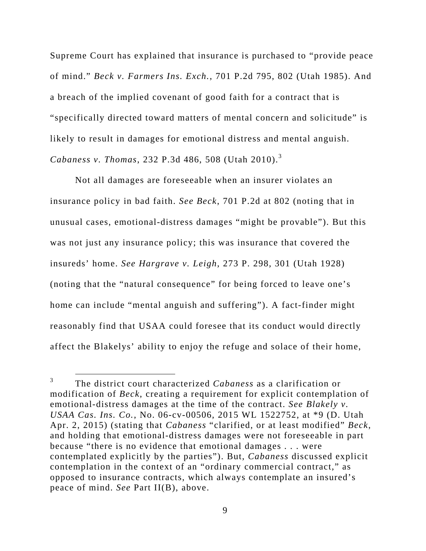Supreme Court has explained that insurance is purchased to "provide peace of mind." *Beck v. Farmers Ins. Exch.*, 701 P.2d 795, 802 (Utah 1985). And a breach of the implied covenant of good faith for a contract that is "specifically directed toward matters of mental concern and solicitude" is likely to result in damages for emotional distress and mental anguish. *Cabaness v. Thomas*, 232 P.3d 486, 508 (Utah 2010).<sup>3</sup>

Not all damages are foreseeable when an insurer violates an insurance policy in bad faith. *See Beck*, 701 P.2d at 802 (noting that in unusual cases, emotional-distress damages "might be provable"). But this was not just any insurance policy; this was insurance that covered the insureds' home. *See Hargrave v. Leigh*, 273 P. 298, 301 (Utah 1928) (noting that the "natural consequence" for being forced to leave one's home can include "mental anguish and suffering"). A fact-finder might reasonably find that USAA could foresee that its conduct would directly affect the Blakelys' ability to enjoy the refuge and solace of their home,

 $\frac{1}{3}$  The district court characterized *Cabaness* as a clarification or modification of *Beck*, creating a requirement for explicit contemplation of emotional-distress damages at the time of the contract. *See Blakely v. USAA Cas. Ins. Co.*, No. 06-cv-00506, 2015 WL 1522752, at \*9 (D. Utah Apr. 2, 2015) (stating that *Cabaness* "clarified, or at least modified" *Beck*, and holding that emotional-distress damages were not foreseeable in part because "there is no evidence that emotional damages . . . were contemplated explicitly by the parties"). But, *Cabaness* discussed explicit contemplation in the context of an "ordinary commercial contract," as opposed to insurance contracts, which always contemplate an insured's peace of mind. *See* Part II(B), above.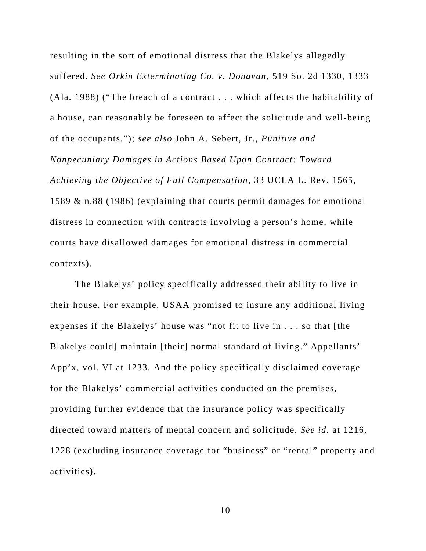resulting in the sort of emotional distress that the Blakelys allegedly suffered. *See Orkin Exterminating Co. v. Donavan*, 519 So. 2d 1330, 1333 (Ala. 1988) ("The breach of a contract . . . which affects the habitability of a house, can reasonably be foreseen to affect the solicitude and well-being of the occupants."); *see also* John A. Sebert, Jr., *Punitive and Nonpecuniary Damages in Actions Based Upon Contract: Toward Achieving the Objective of Full Compensation*, 33 UCLA L. Rev. 1565, 1589 & n.88 (1986) (explaining that courts permit damages for emotional distress in connection with contracts involving a person's home, while courts have disallowed damages for emotional distress in commercial contexts).

 The Blakelys' policy specifically addressed their ability to live in their house. For example, USAA promised to insure any additional living expenses if the Blakelys' house was "not fit to live in . . . so that [the Blakelys could] maintain [their] normal standard of living." Appellants' App'x, vol. VI at 1233. And the policy specifically disclaimed coverage for the Blakelys' commercial activities conducted on the premises, providing further evidence that the insurance policy was specifically directed toward matters of mental concern and solicitude. *See id.* at 1216, 1228 (excluding insurance coverage for "business" or "rental" property and activities).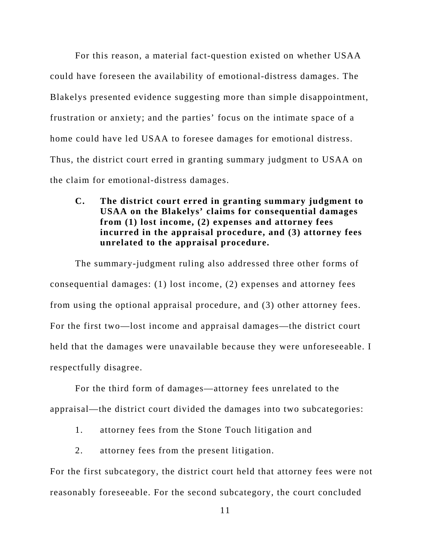For this reason, a material fact-question existed on whether USAA could have foreseen the availability of emotional-distress damages. The Blakelys presented evidence suggesting more than simple disappointment, frustration or anxiety; and the parties' focus on the intimate space of a home could have led USAA to foresee damages for emotional distress. Thus, the district court erred in granting summary judgment to USAA on the claim for emotional-distress damages.

**C. The district court erred in granting summary judgment to USAA on the Blakelys' claims for consequential damages from (1) lost income, (2) expenses and attorney fees incurred in the appraisal procedure, and (3) attorney fees unrelated to the appraisal procedure.**

The summary-judgment ruling also addressed three other forms of consequential damages: (1) lost income, (2) expenses and attorney fees from using the optional appraisal procedure, and (3) other attorney fees. For the first two—lost income and appraisal damages—the district court held that the damages were unavailable because they were unforeseeable. I respectfully disagree.

 For the third form of damages—attorney fees unrelated to the appraisal—the district court divided the damages into two subcategories:

- 1. attorney fees from the Stone Touch litigation and
- 2. attorney fees from the present litigation.

For the first subcategory, the district court held that attorney fees were not reasonably foreseeable. For the second subcategory, the court concluded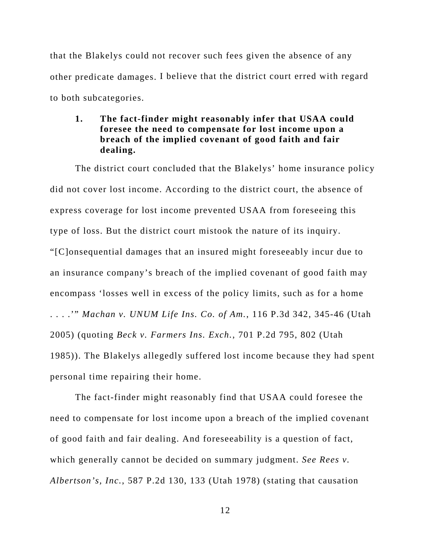that the Blakelys could not recover such fees given the absence of any other predicate damages. I believe that the district court erred with regard to both subcategories.

# **1. The fact-finder might reasonably infer that USAA could foresee the need to compensate for lost income upon a breach of the implied covenant of good faith and fair dealing.**

The district court concluded that the Blakelys' home insurance policy did not cover lost income. According to the district court, the absence of express coverage for lost income prevented USAA from foreseeing this type of loss. But the district court mistook the nature of its inquiry. "[C]onsequential damages that an insured might foreseeably incur due to an insurance company's breach of the implied covenant of good faith may encompass 'losses well in excess of the policy limits, such as for a home . . . .'" *Machan v. UNUM Life Ins. Co. of Am.*, 116 P.3d 342, 345-46 (Utah 2005) (quoting *Beck v. Farmers Ins. Exch.*, 701 P.2d 795, 802 (Utah 1985)). The Blakelys allegedly suffered lost income because they had spent personal time repairing their home.

The fact-finder might reasonably find that USAA could foresee the need to compensate for lost income upon a breach of the implied covenant of good faith and fair dealing. And foreseeability is a question of fact, which generally cannot be decided on summary judgment. *See Rees v. Albertson's, Inc.*, 587 P.2d 130, 133 (Utah 1978) (stating that causation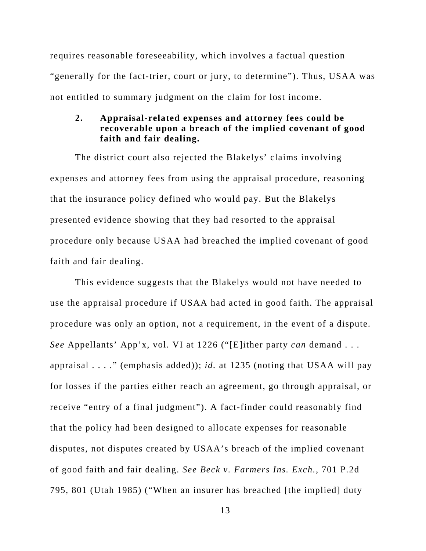requires reasonable foreseeability, which involves a factual question "generally for the fact-trier, court or jury, to determine"). Thus, USAA was not entitled to summary judgment on the claim for lost income.

### **2. Appraisal-related expenses and attorney fees could be recoverable upon a breach of the implied covenant of good faith and fair dealing.**

The district court also rejected the Blakelys' claims involving expenses and attorney fees from using the appraisal procedure, reasoning that the insurance policy defined who would pay. But the Blakelys presented evidence showing that they had resorted to the appraisal procedure only because USAA had breached the implied covenant of good faith and fair dealing.

This evidence suggests that the Blakelys would not have needed to use the appraisal procedure if USAA had acted in good faith. The appraisal procedure was only an option, not a requirement, in the event of a dispute. *See* Appellants' App'x, vol. VI at 1226 ("[E]ither party *can* demand . . . appraisal . . . ." (emphasis added)); *id.* at 1235 (noting that USAA will pay for losses if the parties either reach an agreement, go through appraisal, or receive "entry of a final judgment"). A fact-finder could reasonably find that the policy had been designed to allocate expenses for reasonable disputes, not disputes created by USAA's breach of the implied covenant of good faith and fair dealing. *See Beck v. Farmers Ins. Exch.*, 701 P.2d 795, 801 (Utah 1985) ("When an insurer has breached [the implied] duty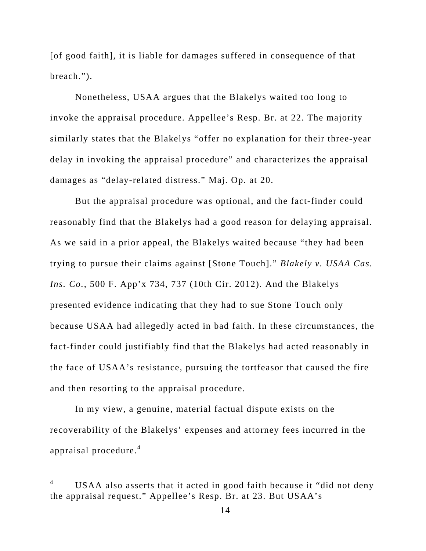[of good faith], it is liable for damages suffered in consequence of that breach.").

Nonetheless, USAA argues that the Blakelys waited too long to invoke the appraisal procedure. Appellee's Resp. Br. at 22. The majority similarly states that the Blakelys "offer no explanation for their three-year delay in invoking the appraisal procedure" and characterizes the appraisal damages as "delay-related distress." Maj. Op. at 20.

But the appraisal procedure was optional, and the fact-finder could reasonably find that the Blakelys had a good reason for delaying appraisal. As we said in a prior appeal, the Blakelys waited because "they had been trying to pursue their claims against [Stone Touch]." *Blakely v. USAA Cas. Ins. Co.*, 500 F. App'x 734, 737 (10th Cir. 2012). And the Blakelys presented evidence indicating that they had to sue Stone Touch only because USAA had allegedly acted in bad faith. In these circumstances, the fact-finder could justifiably find that the Blakelys had acted reasonably in the face of USAA's resistance, pursuing the tortfeasor that caused the fire and then resorting to the appraisal procedure.

In my view, a genuine, material factual dispute exists on the recoverability of the Blakelys' expenses and attorney fees incurred in the appraisal procedure.<sup>4</sup>

 $\begin{array}{ccc}\n & - \\
4 & & \n\end{array}$  USAA also asserts that it acted in good faith because it "did not deny the appraisal request." Appellee's Resp. Br. at 23. But USAA's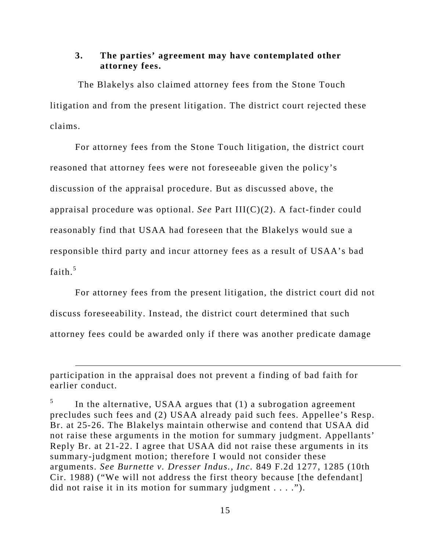### **3. The parties' agreement may have contemplated other attorney fees.**

 The Blakelys also claimed attorney fees from the Stone Touch litigation and from the present litigation. The district court rejected these claims.

For attorney fees from the Stone Touch litigation, the district court reasoned that attorney fees were not foreseeable given the policy's discussion of the appraisal procedure. But as discussed above, the appraisal procedure was optional. *See* Part III(C)(2). A fact-finder could reasonably find that USAA had foreseen that the Blakelys would sue a responsible third party and incur attorney fees as a result of USAA's bad faith.<sup>5</sup>

For attorney fees from the present litigation, the district court did not discuss foreseeability. Instead, the district court determined that such attorney fees could be awarded only if there was another predicate damage

 $\overline{a}$ 

participation in the appraisal does not prevent a finding of bad faith for earlier conduct.

<sup>5</sup> In the alternative, USAA argues that (1) a subrogation agreement precludes such fees and (2) USAA already paid such fees. Appellee's Resp. Br. at 25-26. The Blakelys maintain otherwise and contend that USAA did not raise these arguments in the motion for summary judgment. Appellants' Reply Br. at 21-22. I agree that USAA did not raise these arguments in its summary-judgment motion; therefore I would not consider these arguments. *See Burnette v. Dresser Indus., Inc.* 849 F.2d 1277, 1285 (10th Cir. 1988) ("We will not address the first theory because [the defendant] did not raise it in its motion for summary judgment . . . .").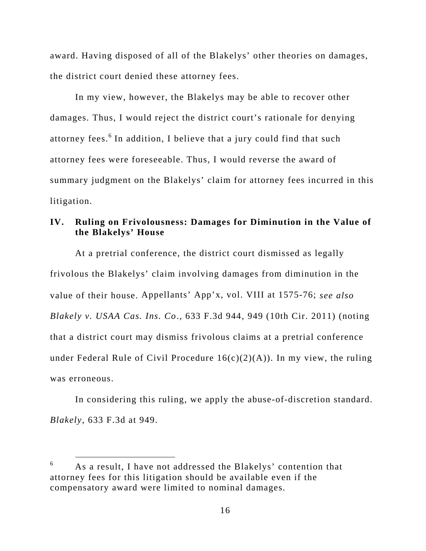award. Having disposed of all of the Blakelys' other theories on damages, the district court denied these attorney fees.

In my view, however, the Blakelys may be able to recover other damages. Thus, I would reject the district court's rationale for denying attorney fees.<sup>6</sup> In addition, I believe that a jury could find that such attorney fees were foreseeable. Thus, I would reverse the award of summary judgment on the Blakelys' claim for attorney fees incurred in this litigation.

### **IV. Ruling on Frivolousness: Damages for Diminution in the Value of the Blakelys' House**

At a pretrial conference, the district court dismissed as legally frivolous the Blakelys' claim involving damages from diminution in the value of their house. Appellants' App'x, vol. VIII at 1575-76; *see also Blakely v. USAA Cas. Ins. Co*., 633 F.3d 944, 949 (10th Cir. 2011) (noting that a district court may dismiss frivolous claims at a pretrial conference under Federal Rule of Civil Procedure  $16(c)(2)(A)$ ). In my view, the ruling was erroneous.

In considering this ruling, we apply the abuse-of-discretion standard. *Blakely*, 633 F.3d at 949.

 $\begin{array}{c} \hline 6 \\ \hline \end{array}$ <sup>6</sup> As a result, I have not addressed the Blakelys' contention that attorney fees for this litigation should be available even if the compensatory award were limited to nominal damages.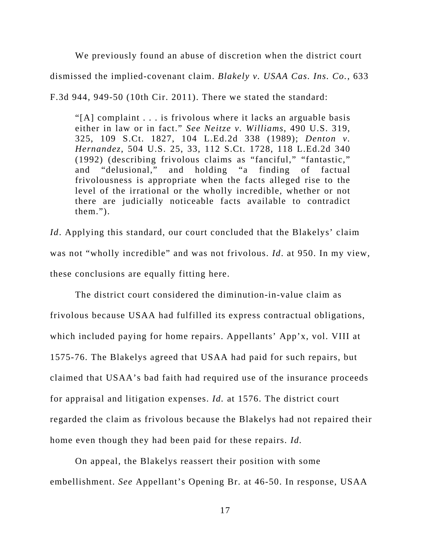We previously found an abuse of discretion when the district court dismissed the implied-covenant claim. *Blakely v. USAA Cas. Ins. Co.*, 633 F.3d 944, 949-50 (10th Cir. 2011). There we stated the standard:

"[A] complaint . . . is frivolous where it lacks an arguable basis either in law or in fact." *See Neitze v. Williams*, 490 U.S. 319, 325, 109 S.Ct. 1827, 104 L.Ed.2d 338 (1989); *Denton v. Hernandez*, 504 U.S. 25, 33, 112 S.Ct. 1728, 118 L.Ed.2d 340 (1992) (describing frivolous claims as "fanciful," "fantastic," and "delusional," and holding "a finding of factual frivolousness is appropriate when the facts alleged rise to the level of the irrational or the wholly incredible, whether or not there are judicially noticeable facts available to contradict them.").

*Id*. Applying this standard, our court concluded that the Blakelys' claim was not "wholly incredible" and was not frivolous. *Id*. at 950. In my view, these conclusions are equally fitting here.

The district court considered the diminution-in-value claim as frivolous because USAA had fulfilled its express contractual obligations, which included paying for home repairs. Appellants' App'x, vol. VIII at 1575-76. The Blakelys agreed that USAA had paid for such repairs, but claimed that USAA's bad faith had required use of the insurance proceeds for appraisal and litigation expenses. *Id.* at 1576. The district court regarded the claim as frivolous because the Blakelys had not repaired their home even though they had been paid for these repairs. *Id.* 

On appeal, the Blakelys reassert their position with some embellishment. *See* Appellant's Opening Br. at 46-50. In response, USAA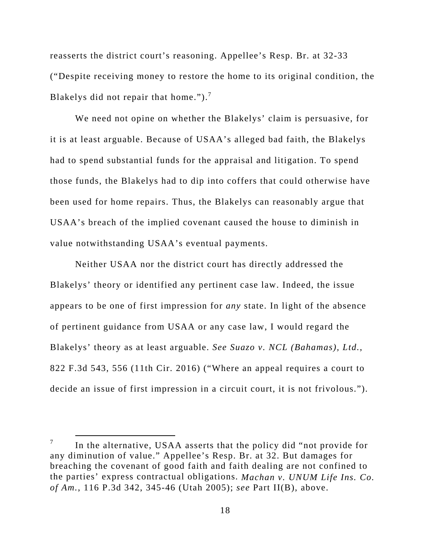reasserts the district court's reasoning. Appellee's Resp. Br. at 32-33 ("Despite receiving money to restore the home to its original condition, the Blakelys did not repair that home." $)^{7}$ .

We need not opine on whether the Blakelys' claim is persuasive, for it is at least arguable. Because of USAA's alleged bad faith, the Blakelys had to spend substantial funds for the appraisal and litigation. To spend those funds, the Blakelys had to dip into coffers that could otherwise have been used for home repairs. Thus, the Blakelys can reasonably argue that USAA's breach of the implied covenant caused the house to diminish in value notwithstanding USAA's eventual payments.

Neither USAA nor the district court has directly addressed the Blakelys' theory or identified any pertinent case law. Indeed, the issue appears to be one of first impression for *any* state. In light of the absence of pertinent guidance from USAA or any case law, I would regard the Blakelys' theory as at least arguable. *See Suazo v. NCL (Bahamas), Ltd.*, 822 F.3d 543, 556 (11th Cir. 2016) ("Where an appeal requires a court to decide an issue of first impression in a circuit court, it is not frivolous.").

 $\frac{1}{7}$  $\frac{7}{10}$  In the alternative, USAA asserts that the policy did "not provide for any diminution of value." Appellee's Resp. Br. at 32. But damages for breaching the covenant of good faith and faith dealing are not confined to the parties' express contractual obligations. *Machan v. UNUM Life Ins. Co. of Am.*, 116 P.3d 342, 345-46 (Utah 2005); *see* Part II(B), above.